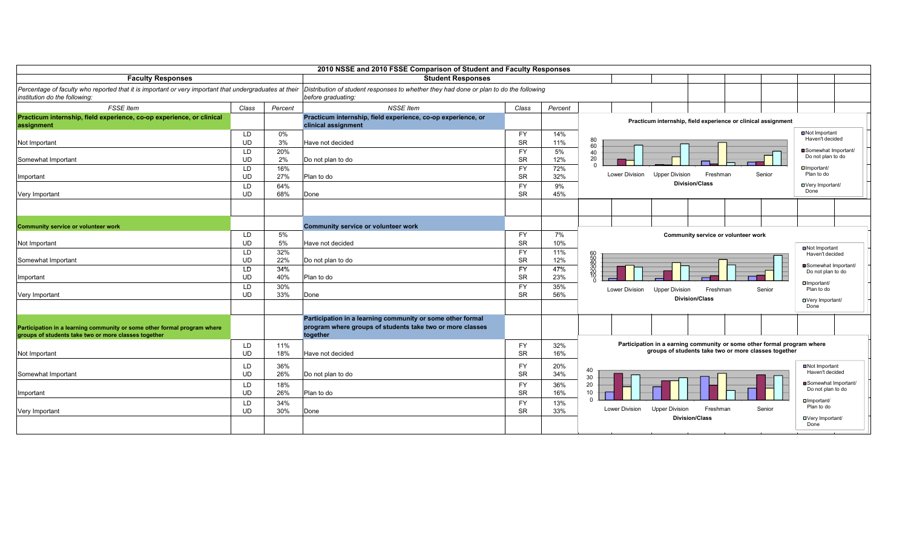|                                                                                                        |                 |            | 2010 NSSE and 2010 FSSE Comparison of Student and Faculty Responses                    |                        |            |                                                                         |                                           |
|--------------------------------------------------------------------------------------------------------|-----------------|------------|----------------------------------------------------------------------------------------|------------------------|------------|-------------------------------------------------------------------------|-------------------------------------------|
| <b>Faculty Responses</b>                                                                               |                 |            | <b>Student Responses</b>                                                               |                        |            |                                                                         |                                           |
| Percentage of faculty who reported that it is important or very important that undergraduates at their |                 |            | Distribution of student responses to whether they had done or plan to do the following |                        |            |                                                                         |                                           |
| institution do the following:                                                                          |                 |            | before graduating:                                                                     |                        |            |                                                                         |                                           |
| <b>FSSE</b> Item                                                                                       | Class           | Percent    | <b>NSSE</b> Item                                                                       | Class                  | Percent    |                                                                         |                                           |
| Practicum internship, field experience, co-op experience, or clinical                                  |                 |            | Practicum internship, field experience, co-op experience, or                           |                        |            | Practicum internship, field experience or clinical assignment           |                                           |
| assignment                                                                                             |                 |            | clinical assignment                                                                    |                        |            |                                                                         |                                           |
|                                                                                                        | LD              | 0%         |                                                                                        | <b>FY</b>              | 14%        | 80                                                                      | <b>□</b> Not Important<br>Haven't decided |
| Not Important                                                                                          | <b>UD</b>       | 3%         | Have not decided                                                                       | <b>SR</b>              | 11%        | 60                                                                      | Somewhat Important/                       |
|                                                                                                        | LD<br><b>UD</b> | 20%<br>2%  |                                                                                        | <b>FY</b><br><b>SR</b> | 5%<br>12%  | 40<br>20                                                                | Do not plan to do                         |
| Somewhat Important                                                                                     |                 |            | Do not plan to do                                                                      | <b>FY</b>              |            |                                                                         | $\Box$ Important/                         |
| Important                                                                                              | LD<br><b>UD</b> | 16%<br>27% | Plan to do                                                                             | <b>SR</b>              | 72%<br>32% | Lower Division<br><b>Upper Division</b><br>Freshman<br>Senior           | Plan to do                                |
|                                                                                                        | LD              | 64%        |                                                                                        | <b>FY</b>              | 9%         | <b>Division/Class</b>                                                   | □Very Important/                          |
| Very Important                                                                                         | <b>UD</b>       | 68%        | Done                                                                                   | <b>SR</b>              | 45%        |                                                                         | Done                                      |
|                                                                                                        |                 |            |                                                                                        |                        |            |                                                                         |                                           |
|                                                                                                        |                 |            |                                                                                        |                        |            |                                                                         |                                           |
|                                                                                                        |                 |            |                                                                                        |                        |            |                                                                         |                                           |
| <b>Community service or volunteer work</b>                                                             |                 |            | <b>Community service or volunteer work</b>                                             |                        |            |                                                                         |                                           |
|                                                                                                        | LD              | 5%         |                                                                                        | FY                     | 7%         | Community service or volunteer work                                     |                                           |
| Not Important                                                                                          | UD              | 5%         | Have not decided                                                                       | <b>SR</b>              | 10%        |                                                                         | ■Not Important                            |
|                                                                                                        | LD              | 32%        |                                                                                        | FY                     | 11%        |                                                                         | Haven't decided                           |
| Somewhat Important                                                                                     | <b>UD</b>       | 22%        | Do not plan to do                                                                      | <b>SR</b>              | 12%        | 60<br>540<br>30<br>20<br>70                                             | Somewhat Important/                       |
|                                                                                                        | LD<br><b>UD</b> | 34%<br>40% | Plan to do                                                                             | <b>FY</b><br><b>SR</b> | 47%<br>23% |                                                                         | Do not plan to do                         |
| Important                                                                                              |                 | 30%        |                                                                                        | <b>FY</b>              | 35%        |                                                                         | □ Important/                              |
| Very Important                                                                                         | LD<br><b>UD</b> | 33%        | Done                                                                                   | <b>SR</b>              | 56%        | Lower Division<br><b>Upper Division</b><br>Freshman<br>Senior           | Plan to do                                |
|                                                                                                        |                 |            |                                                                                        |                        |            | <b>Division/Class</b>                                                   | □Very Important/                          |
|                                                                                                        |                 |            |                                                                                        |                        |            |                                                                         | Done                                      |
|                                                                                                        |                 |            | Participation in a learning community or some other formal                             |                        |            |                                                                         |                                           |
| Participation in a learning community or some other formal program where                               |                 |            | program where groups of students take two or more classes                              |                        |            |                                                                         |                                           |
| groups of students take two or more classes together                                                   |                 |            | together                                                                               |                        |            |                                                                         |                                           |
|                                                                                                        | LD              | 11%        |                                                                                        | <b>FY</b>              | 32%        | Participation in a earning community or some other formal program where |                                           |
| Not Important                                                                                          | <b>UD</b>       | 18%        | Have not decided                                                                       | <b>SR</b>              | 16%        | groups of students take two or more classes together                    |                                           |
|                                                                                                        | LD              | 36%        |                                                                                        | FY                     | 20%        |                                                                         | ■Not Important                            |
| Somewhat Important                                                                                     | <b>UD</b>       | 26%        | Do not plan to do                                                                      | <b>SR</b>              | 34%        | 40<br>30                                                                | Haven't decided                           |
|                                                                                                        | LD              | 18%        |                                                                                        | <b>FY</b>              | 36%        | 20                                                                      | Somewhat Important/                       |
| Important                                                                                              | <b>UD</b>       | 26%        | Plan to do                                                                             | <b>SR</b>              | 16%        | 10 <sup>1</sup>                                                         | Do not plan to do                         |
|                                                                                                        | LD              | 34%        |                                                                                        | <b>FY</b>              | 13%        | $\Omega$                                                                | $\Box$ Important/                         |
| Very Important                                                                                         | <b>UD</b>       | 30%        | Done                                                                                   | <b>SR</b>              | 33%        | Lower Division<br>Freshman<br>Senior<br><b>Upper Division</b>           | Plan to do                                |
|                                                                                                        |                 |            |                                                                                        |                        |            | <b>Division/Class</b>                                                   | □Very Important/                          |
|                                                                                                        |                 |            |                                                                                        |                        |            |                                                                         | Done                                      |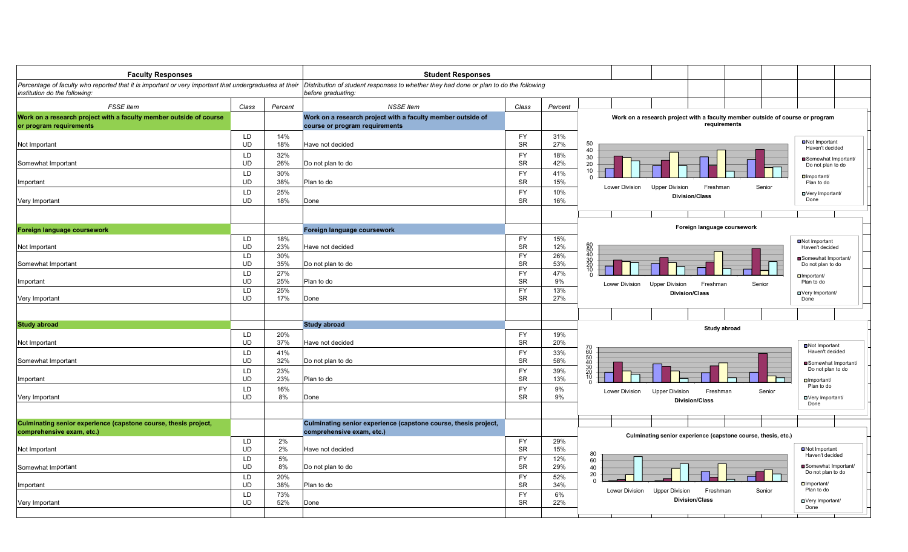| Percentage of faculty who reported that it is important or very important that undergraduates at their  Distribution of student responses to whether they had done or plan to do the following<br>before graduating:<br><b>FSSE</b> Item<br><b>NSSE Item</b><br>Class<br>Percent<br>Class<br>Percent<br>Work on a research project with a faculty member outside of<br>Work on a research project with a faculty member outside of course or program<br>requirements<br>course or program requirements<br>LD<br><b>FY</b><br>14%<br>31%<br>Not Important<br>50<br><b>UD</b><br><b>SR</b><br>18%<br>27%<br>Have not decided<br>Haven't decided<br>40<br>LD<br>32%<br>FY<br>18%<br>30<br>Somewhat Important/<br><b>UD</b><br><b>SR</b><br>42%<br>26%<br>20<br>Do not plan to do<br>Do not plan to do<br>10<br>LD<br>30%<br><b>FY</b><br>41%<br>Important/<br><b>UD</b><br>38%<br><b>SR</b><br>15%<br>Plan to do<br>Plan to do<br>Lower Division<br><b>Upper Division</b><br>Freshman<br>Senior<br>LD<br>25%<br><b>FY</b><br>10%<br>□ Very Important/<br><b>Division/Class</b><br><b>SR</b><br>UD<br>18%<br>16%<br>Done<br>Done<br>Foreign language coursework<br>Foreign language coursework<br>Foreign language coursework<br>LD<br>18%<br><b>FY</b><br>15%<br>■Not Important<br>60<br>50<br>40<br>30<br>20<br>10<br>10<br>UD<br>23%<br><b>SR</b><br>12%<br>Have not decided<br>Haven't decided<br>LD<br>30%<br><b>FY</b><br>26%<br>Somewhat Important/<br>SR<br><b>UD</b><br>53%<br>35%<br>Do not plan to do<br>Do not plan to do<br>LD<br>FY<br>47%<br>27%<br>$\Box$ Important/<br><b>UD</b><br>25%<br><b>SR</b><br>Plan to do<br>9%<br>Plan to do<br>Lower Division<br>Freshman<br>Senior<br><b>Upper Division</b><br>LD<br>25%<br><b>FY</b><br>13%<br><b>Division/Class</b><br>□Very Important/<br><b>UD</b><br><b>SR</b><br>17%<br>27%<br>Done<br>Done<br><b>Study abroad</b><br>Study abroad<br>LD<br>20%<br><b>FY</b><br>19%<br><b>SR</b><br>UD<br>37%<br>20%<br>Have not decided<br>■Not Important<br>70<br>60<br>50<br>50<br>40<br>Haven't decided<br>LD<br><b>FY</b><br>33%<br>41%<br><b>SR</b><br>UD<br>32%<br>58%<br>Do not plan to do<br>Somewhat Important/<br>$\frac{30}{20}$<br>10<br>Do not plan to do<br>LD<br>23%<br><b>FY</b><br>39%<br>SR<br><b>UD</b><br>13%<br>23%<br>Plan to do<br>$\Box$ Important/<br>Plan to do<br>LD<br>16%<br><b>FY</b><br>9%<br>Lower Division<br><b>Upper Division</b><br>Freshman<br>Senior<br><b>UD</b><br><b>SR</b><br>8%<br>9%<br>Done<br>□Very Important/<br><b>Division/Class</b><br>Done<br>Culminating senior experience (capstone course, thesis project,<br>Culminating senior experience (capstone course, thesis project,<br>comprehensive exam, etc.)<br>Culminating senior experience (capstone course, thesis, etc.)<br>LD<br>2%<br><b>FY</b><br>29%<br><b>SR</b><br>■Not Important<br>UD<br>2%<br>Have not decided<br>15%<br>80<br>Haven't decided<br>LD<br>5%<br><b>FY</b><br>12%<br>60<br>Somewhat Important/<br>UD<br>8%<br><b>SR</b><br>29%<br>40<br>Do not plan to do<br>Do not plan to do<br>20<br>LD<br>20%<br><b>FY</b><br>52%<br>$\Omega$<br><b>SR</b><br>$\Box$ Important/<br><b>UD</b><br>38%<br>Plan to do<br>34%<br>Plan to do<br>Lower Division<br><b>Upper Division</b><br>Freshman<br>Senior<br>LD<br>73%<br><b>FY</b><br>6%<br><b>Division/Class</b><br>□Very Important/<br><b>SR</b><br><b>UD</b><br>52%<br>22%<br>Done<br>Done | <b>Faculty Responses</b>                                                                      |  | <b>Student Responses</b> |  |  |
|-----------------------------------------------------------------------------------------------------------------------------------------------------------------------------------------------------------------------------------------------------------------------------------------------------------------------------------------------------------------------------------------------------------------------------------------------------------------------------------------------------------------------------------------------------------------------------------------------------------------------------------------------------------------------------------------------------------------------------------------------------------------------------------------------------------------------------------------------------------------------------------------------------------------------------------------------------------------------------------------------------------------------------------------------------------------------------------------------------------------------------------------------------------------------------------------------------------------------------------------------------------------------------------------------------------------------------------------------------------------------------------------------------------------------------------------------------------------------------------------------------------------------------------------------------------------------------------------------------------------------------------------------------------------------------------------------------------------------------------------------------------------------------------------------------------------------------------------------------------------------------------------------------------------------------------------------------------------------------------------------------------------------------------------------------------------------------------------------------------------------------------------------------------------------------------------------------------------------------------------------------------------------------------------------------------------------------------------------------------------------------------------------------------------------------------------------------------------------------------------------------------------------------------------------------------------------------------------------------------------------------------------------------------------------------------------------------------------------------------------------------------------------------------------------------------------------------------------------------------------------------------------------------------------------------------------------------------------------------------------------------------------------------------------------------------------------------------------------------------------------------------------------------------------------------------------------------------------------------------------------------------------------------------------------------------------------------------------------------------------------------------------------------------------|-----------------------------------------------------------------------------------------------|--|--------------------------|--|--|
|                                                                                                                                                                                                                                                                                                                                                                                                                                                                                                                                                                                                                                                                                                                                                                                                                                                                                                                                                                                                                                                                                                                                                                                                                                                                                                                                                                                                                                                                                                                                                                                                                                                                                                                                                                                                                                                                                                                                                                                                                                                                                                                                                                                                                                                                                                                                                                                                                                                                                                                                                                                                                                                                                                                                                                                                                                                                                                                                                                                                                                                                                                                                                                                                                                                                                                                                                                                                                 | institution do the following:                                                                 |  |                          |  |  |
|                                                                                                                                                                                                                                                                                                                                                                                                                                                                                                                                                                                                                                                                                                                                                                                                                                                                                                                                                                                                                                                                                                                                                                                                                                                                                                                                                                                                                                                                                                                                                                                                                                                                                                                                                                                                                                                                                                                                                                                                                                                                                                                                                                                                                                                                                                                                                                                                                                                                                                                                                                                                                                                                                                                                                                                                                                                                                                                                                                                                                                                                                                                                                                                                                                                                                                                                                                                                                 |                                                                                               |  |                          |  |  |
|                                                                                                                                                                                                                                                                                                                                                                                                                                                                                                                                                                                                                                                                                                                                                                                                                                                                                                                                                                                                                                                                                                                                                                                                                                                                                                                                                                                                                                                                                                                                                                                                                                                                                                                                                                                                                                                                                                                                                                                                                                                                                                                                                                                                                                                                                                                                                                                                                                                                                                                                                                                                                                                                                                                                                                                                                                                                                                                                                                                                                                                                                                                                                                                                                                                                                                                                                                                                                 | Work on a research project with a faculty member outside of course<br>or program requirements |  |                          |  |  |
|                                                                                                                                                                                                                                                                                                                                                                                                                                                                                                                                                                                                                                                                                                                                                                                                                                                                                                                                                                                                                                                                                                                                                                                                                                                                                                                                                                                                                                                                                                                                                                                                                                                                                                                                                                                                                                                                                                                                                                                                                                                                                                                                                                                                                                                                                                                                                                                                                                                                                                                                                                                                                                                                                                                                                                                                                                                                                                                                                                                                                                                                                                                                                                                                                                                                                                                                                                                                                 | Not Important                                                                                 |  |                          |  |  |
|                                                                                                                                                                                                                                                                                                                                                                                                                                                                                                                                                                                                                                                                                                                                                                                                                                                                                                                                                                                                                                                                                                                                                                                                                                                                                                                                                                                                                                                                                                                                                                                                                                                                                                                                                                                                                                                                                                                                                                                                                                                                                                                                                                                                                                                                                                                                                                                                                                                                                                                                                                                                                                                                                                                                                                                                                                                                                                                                                                                                                                                                                                                                                                                                                                                                                                                                                                                                                 | Somewhat Important                                                                            |  |                          |  |  |
|                                                                                                                                                                                                                                                                                                                                                                                                                                                                                                                                                                                                                                                                                                                                                                                                                                                                                                                                                                                                                                                                                                                                                                                                                                                                                                                                                                                                                                                                                                                                                                                                                                                                                                                                                                                                                                                                                                                                                                                                                                                                                                                                                                                                                                                                                                                                                                                                                                                                                                                                                                                                                                                                                                                                                                                                                                                                                                                                                                                                                                                                                                                                                                                                                                                                                                                                                                                                                 | Important                                                                                     |  |                          |  |  |
|                                                                                                                                                                                                                                                                                                                                                                                                                                                                                                                                                                                                                                                                                                                                                                                                                                                                                                                                                                                                                                                                                                                                                                                                                                                                                                                                                                                                                                                                                                                                                                                                                                                                                                                                                                                                                                                                                                                                                                                                                                                                                                                                                                                                                                                                                                                                                                                                                                                                                                                                                                                                                                                                                                                                                                                                                                                                                                                                                                                                                                                                                                                                                                                                                                                                                                                                                                                                                 | Very Important                                                                                |  |                          |  |  |
|                                                                                                                                                                                                                                                                                                                                                                                                                                                                                                                                                                                                                                                                                                                                                                                                                                                                                                                                                                                                                                                                                                                                                                                                                                                                                                                                                                                                                                                                                                                                                                                                                                                                                                                                                                                                                                                                                                                                                                                                                                                                                                                                                                                                                                                                                                                                                                                                                                                                                                                                                                                                                                                                                                                                                                                                                                                                                                                                                                                                                                                                                                                                                                                                                                                                                                                                                                                                                 |                                                                                               |  |                          |  |  |
|                                                                                                                                                                                                                                                                                                                                                                                                                                                                                                                                                                                                                                                                                                                                                                                                                                                                                                                                                                                                                                                                                                                                                                                                                                                                                                                                                                                                                                                                                                                                                                                                                                                                                                                                                                                                                                                                                                                                                                                                                                                                                                                                                                                                                                                                                                                                                                                                                                                                                                                                                                                                                                                                                                                                                                                                                                                                                                                                                                                                                                                                                                                                                                                                                                                                                                                                                                                                                 |                                                                                               |  |                          |  |  |
|                                                                                                                                                                                                                                                                                                                                                                                                                                                                                                                                                                                                                                                                                                                                                                                                                                                                                                                                                                                                                                                                                                                                                                                                                                                                                                                                                                                                                                                                                                                                                                                                                                                                                                                                                                                                                                                                                                                                                                                                                                                                                                                                                                                                                                                                                                                                                                                                                                                                                                                                                                                                                                                                                                                                                                                                                                                                                                                                                                                                                                                                                                                                                                                                                                                                                                                                                                                                                 | Not Important                                                                                 |  |                          |  |  |
|                                                                                                                                                                                                                                                                                                                                                                                                                                                                                                                                                                                                                                                                                                                                                                                                                                                                                                                                                                                                                                                                                                                                                                                                                                                                                                                                                                                                                                                                                                                                                                                                                                                                                                                                                                                                                                                                                                                                                                                                                                                                                                                                                                                                                                                                                                                                                                                                                                                                                                                                                                                                                                                                                                                                                                                                                                                                                                                                                                                                                                                                                                                                                                                                                                                                                                                                                                                                                 | Somewhat Important                                                                            |  |                          |  |  |
|                                                                                                                                                                                                                                                                                                                                                                                                                                                                                                                                                                                                                                                                                                                                                                                                                                                                                                                                                                                                                                                                                                                                                                                                                                                                                                                                                                                                                                                                                                                                                                                                                                                                                                                                                                                                                                                                                                                                                                                                                                                                                                                                                                                                                                                                                                                                                                                                                                                                                                                                                                                                                                                                                                                                                                                                                                                                                                                                                                                                                                                                                                                                                                                                                                                                                                                                                                                                                 | Important                                                                                     |  |                          |  |  |
|                                                                                                                                                                                                                                                                                                                                                                                                                                                                                                                                                                                                                                                                                                                                                                                                                                                                                                                                                                                                                                                                                                                                                                                                                                                                                                                                                                                                                                                                                                                                                                                                                                                                                                                                                                                                                                                                                                                                                                                                                                                                                                                                                                                                                                                                                                                                                                                                                                                                                                                                                                                                                                                                                                                                                                                                                                                                                                                                                                                                                                                                                                                                                                                                                                                                                                                                                                                                                 | Very Important                                                                                |  |                          |  |  |
|                                                                                                                                                                                                                                                                                                                                                                                                                                                                                                                                                                                                                                                                                                                                                                                                                                                                                                                                                                                                                                                                                                                                                                                                                                                                                                                                                                                                                                                                                                                                                                                                                                                                                                                                                                                                                                                                                                                                                                                                                                                                                                                                                                                                                                                                                                                                                                                                                                                                                                                                                                                                                                                                                                                                                                                                                                                                                                                                                                                                                                                                                                                                                                                                                                                                                                                                                                                                                 | <b>Study abroad</b>                                                                           |  |                          |  |  |
|                                                                                                                                                                                                                                                                                                                                                                                                                                                                                                                                                                                                                                                                                                                                                                                                                                                                                                                                                                                                                                                                                                                                                                                                                                                                                                                                                                                                                                                                                                                                                                                                                                                                                                                                                                                                                                                                                                                                                                                                                                                                                                                                                                                                                                                                                                                                                                                                                                                                                                                                                                                                                                                                                                                                                                                                                                                                                                                                                                                                                                                                                                                                                                                                                                                                                                                                                                                                                 | Not Important                                                                                 |  |                          |  |  |
|                                                                                                                                                                                                                                                                                                                                                                                                                                                                                                                                                                                                                                                                                                                                                                                                                                                                                                                                                                                                                                                                                                                                                                                                                                                                                                                                                                                                                                                                                                                                                                                                                                                                                                                                                                                                                                                                                                                                                                                                                                                                                                                                                                                                                                                                                                                                                                                                                                                                                                                                                                                                                                                                                                                                                                                                                                                                                                                                                                                                                                                                                                                                                                                                                                                                                                                                                                                                                 | Somewhat Important                                                                            |  |                          |  |  |
|                                                                                                                                                                                                                                                                                                                                                                                                                                                                                                                                                                                                                                                                                                                                                                                                                                                                                                                                                                                                                                                                                                                                                                                                                                                                                                                                                                                                                                                                                                                                                                                                                                                                                                                                                                                                                                                                                                                                                                                                                                                                                                                                                                                                                                                                                                                                                                                                                                                                                                                                                                                                                                                                                                                                                                                                                                                                                                                                                                                                                                                                                                                                                                                                                                                                                                                                                                                                                 | Important                                                                                     |  |                          |  |  |
|                                                                                                                                                                                                                                                                                                                                                                                                                                                                                                                                                                                                                                                                                                                                                                                                                                                                                                                                                                                                                                                                                                                                                                                                                                                                                                                                                                                                                                                                                                                                                                                                                                                                                                                                                                                                                                                                                                                                                                                                                                                                                                                                                                                                                                                                                                                                                                                                                                                                                                                                                                                                                                                                                                                                                                                                                                                                                                                                                                                                                                                                                                                                                                                                                                                                                                                                                                                                                 | Very Important                                                                                |  |                          |  |  |
|                                                                                                                                                                                                                                                                                                                                                                                                                                                                                                                                                                                                                                                                                                                                                                                                                                                                                                                                                                                                                                                                                                                                                                                                                                                                                                                                                                                                                                                                                                                                                                                                                                                                                                                                                                                                                                                                                                                                                                                                                                                                                                                                                                                                                                                                                                                                                                                                                                                                                                                                                                                                                                                                                                                                                                                                                                                                                                                                                                                                                                                                                                                                                                                                                                                                                                                                                                                                                 |                                                                                               |  |                          |  |  |
|                                                                                                                                                                                                                                                                                                                                                                                                                                                                                                                                                                                                                                                                                                                                                                                                                                                                                                                                                                                                                                                                                                                                                                                                                                                                                                                                                                                                                                                                                                                                                                                                                                                                                                                                                                                                                                                                                                                                                                                                                                                                                                                                                                                                                                                                                                                                                                                                                                                                                                                                                                                                                                                                                                                                                                                                                                                                                                                                                                                                                                                                                                                                                                                                                                                                                                                                                                                                                 | comprehensive exam, etc.)                                                                     |  |                          |  |  |
|                                                                                                                                                                                                                                                                                                                                                                                                                                                                                                                                                                                                                                                                                                                                                                                                                                                                                                                                                                                                                                                                                                                                                                                                                                                                                                                                                                                                                                                                                                                                                                                                                                                                                                                                                                                                                                                                                                                                                                                                                                                                                                                                                                                                                                                                                                                                                                                                                                                                                                                                                                                                                                                                                                                                                                                                                                                                                                                                                                                                                                                                                                                                                                                                                                                                                                                                                                                                                 | Not Important                                                                                 |  |                          |  |  |
|                                                                                                                                                                                                                                                                                                                                                                                                                                                                                                                                                                                                                                                                                                                                                                                                                                                                                                                                                                                                                                                                                                                                                                                                                                                                                                                                                                                                                                                                                                                                                                                                                                                                                                                                                                                                                                                                                                                                                                                                                                                                                                                                                                                                                                                                                                                                                                                                                                                                                                                                                                                                                                                                                                                                                                                                                                                                                                                                                                                                                                                                                                                                                                                                                                                                                                                                                                                                                 | Somewhat Important                                                                            |  |                          |  |  |
|                                                                                                                                                                                                                                                                                                                                                                                                                                                                                                                                                                                                                                                                                                                                                                                                                                                                                                                                                                                                                                                                                                                                                                                                                                                                                                                                                                                                                                                                                                                                                                                                                                                                                                                                                                                                                                                                                                                                                                                                                                                                                                                                                                                                                                                                                                                                                                                                                                                                                                                                                                                                                                                                                                                                                                                                                                                                                                                                                                                                                                                                                                                                                                                                                                                                                                                                                                                                                 | Important                                                                                     |  |                          |  |  |
|                                                                                                                                                                                                                                                                                                                                                                                                                                                                                                                                                                                                                                                                                                                                                                                                                                                                                                                                                                                                                                                                                                                                                                                                                                                                                                                                                                                                                                                                                                                                                                                                                                                                                                                                                                                                                                                                                                                                                                                                                                                                                                                                                                                                                                                                                                                                                                                                                                                                                                                                                                                                                                                                                                                                                                                                                                                                                                                                                                                                                                                                                                                                                                                                                                                                                                                                                                                                                 | Very Important                                                                                |  |                          |  |  |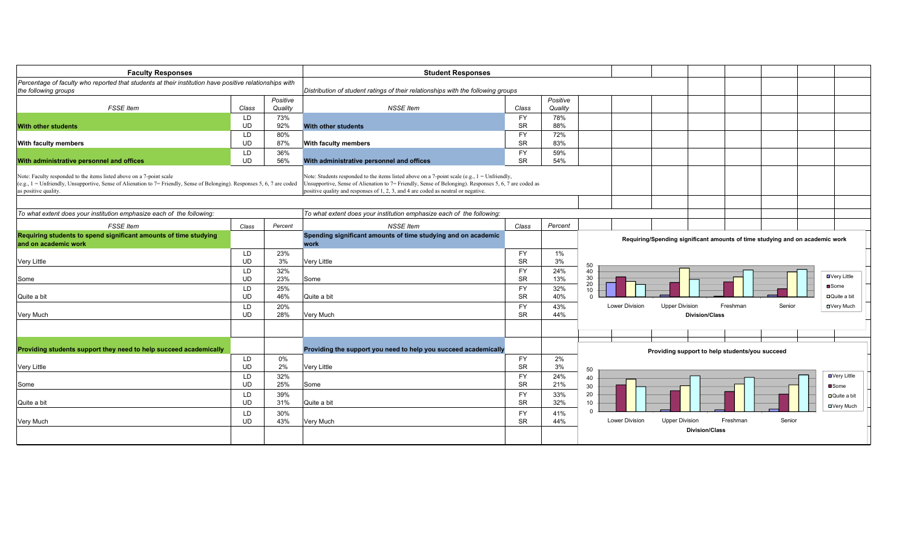| <b>Faculty Responses</b>                                                                                                                                                                                                   |           |          | <b>Student Responses</b>                                                                                                                                                                                                                                                                      |           |          |                                                                              |
|----------------------------------------------------------------------------------------------------------------------------------------------------------------------------------------------------------------------------|-----------|----------|-----------------------------------------------------------------------------------------------------------------------------------------------------------------------------------------------------------------------------------------------------------------------------------------------|-----------|----------|------------------------------------------------------------------------------|
| Percentage of faculty who reported that students at their institution have positive relationships with                                                                                                                     |           |          |                                                                                                                                                                                                                                                                                               |           |          |                                                                              |
| the following groups                                                                                                                                                                                                       |           |          | Distribution of student ratings of their relationships with the following groups                                                                                                                                                                                                              |           |          |                                                                              |
|                                                                                                                                                                                                                            |           | Positive |                                                                                                                                                                                                                                                                                               |           | Positive |                                                                              |
| <b>FSSE</b> Item                                                                                                                                                                                                           | Class     | Quality  | <b>NSSE Item</b>                                                                                                                                                                                                                                                                              | Class     | Quality  |                                                                              |
|                                                                                                                                                                                                                            | LD.       | 73%      |                                                                                                                                                                                                                                                                                               | <b>FY</b> | 78%      |                                                                              |
| <b>With other students</b>                                                                                                                                                                                                 | <b>UD</b> | 92%      | With other students                                                                                                                                                                                                                                                                           | <b>SR</b> | 88%      |                                                                              |
|                                                                                                                                                                                                                            | LD.       | 80%      |                                                                                                                                                                                                                                                                                               | <b>FY</b> | 72%      |                                                                              |
| <b>With faculty members</b>                                                                                                                                                                                                | <b>UD</b> | 87%      | With faculty members                                                                                                                                                                                                                                                                          | <b>SR</b> | 83%      |                                                                              |
|                                                                                                                                                                                                                            | LD        | 36%      |                                                                                                                                                                                                                                                                                               | FY        | 59%      |                                                                              |
| With administrative personnel and offices                                                                                                                                                                                  | <b>UD</b> | 56%      | With administrative personnel and offices                                                                                                                                                                                                                                                     | <b>SR</b> | 54%      |                                                                              |
| Note: Faculty responded to the items listed above on a 7-point scale<br>(e.g., 1 = Unfriendly, Unsupportive, Sense of Alienation to 7 = Friendly, Sense of Belonging). Responses 5, 6, 7 are coded<br>as positive quality. |           |          | Note: Students responded to the items listed above on a 7-point scale (e.g., $1 =$ Unfriendly,<br>Insupportive, Sense of Alienation to 7= Friendly, Sense of Belonging). Responses 5, 6, 7 are coded as<br>positive quality and responses of 1, 2, 3, and 4 are coded as neutral or negative. |           |          |                                                                              |
| To what extent does your institution emphasize each of the following:                                                                                                                                                      |           |          | To what extent does your institution emphasize each of the following.                                                                                                                                                                                                                         |           |          |                                                                              |
| <b>FSSE</b> Item                                                                                                                                                                                                           | Class     | Percent  | <b>NSSE</b> Item                                                                                                                                                                                                                                                                              | Class     | Percent  |                                                                              |
| Requiring students to spend significant amounts of time studying                                                                                                                                                           |           |          | Spending significant amounts of time studying and on academic                                                                                                                                                                                                                                 |           |          |                                                                              |
| and on academic work                                                                                                                                                                                                       |           |          | work                                                                                                                                                                                                                                                                                          |           |          | Requiring/Spending significant amounts of time studying and on academic work |
|                                                                                                                                                                                                                            | LD        | 23%      |                                                                                                                                                                                                                                                                                               | FY        | 1%       |                                                                              |
| <b>Very Little</b>                                                                                                                                                                                                         | <b>UD</b> | 3%       | <b>Very Little</b>                                                                                                                                                                                                                                                                            | <b>SR</b> | 3%       |                                                                              |
|                                                                                                                                                                                                                            | LD        | 32%      |                                                                                                                                                                                                                                                                                               | <b>FY</b> | 24%      | 50<br>40                                                                     |
| Some                                                                                                                                                                                                                       | <b>UD</b> | 23%      | Some                                                                                                                                                                                                                                                                                          | <b>SR</b> | 13%      | <b>■Very Little</b><br>30 <sup>2</sup>                                       |
|                                                                                                                                                                                                                            | LD        | 25%      |                                                                                                                                                                                                                                                                                               | <b>FY</b> | 32%      | 20<br><b>□</b> Some                                                          |
| Quite a bit                                                                                                                                                                                                                | <b>UD</b> | 46%      | Quite a bit                                                                                                                                                                                                                                                                                   | <b>SR</b> | 40%      | 10<br>$\Box$ Quite a bit<br>$\Omega$                                         |
|                                                                                                                                                                                                                            | LD        | 20%      |                                                                                                                                                                                                                                                                                               | <b>FY</b> | 43%      | <b>Upper Division</b><br>Freshman<br>Senior<br>Lower Division<br>□Very Much  |
| Very Much                                                                                                                                                                                                                  | <b>UD</b> | 28%      | Very Much                                                                                                                                                                                                                                                                                     | <b>SR</b> | 44%      | <b>Division/Class</b>                                                        |
|                                                                                                                                                                                                                            |           |          |                                                                                                                                                                                                                                                                                               |           |          |                                                                              |
|                                                                                                                                                                                                                            |           |          |                                                                                                                                                                                                                                                                                               |           |          |                                                                              |
|                                                                                                                                                                                                                            |           |          |                                                                                                                                                                                                                                                                                               |           |          |                                                                              |
| Providing students support they need to help succeed academically                                                                                                                                                          |           |          | Providing the support you need to help you succeed academically                                                                                                                                                                                                                               |           |          | Providing support to help students/you succeed                               |
|                                                                                                                                                                                                                            | LD        | 0%       |                                                                                                                                                                                                                                                                                               | FY        | 2%       |                                                                              |
| <b>Very Little</b>                                                                                                                                                                                                         | <b>UD</b> | 2%       | <b>Very Little</b>                                                                                                                                                                                                                                                                            | <b>SR</b> | 3%       | 50                                                                           |
|                                                                                                                                                                                                                            | LD        | 32%      |                                                                                                                                                                                                                                                                                               | FY        | 24%      | ■Very Little<br>40                                                           |
| Some                                                                                                                                                                                                                       | <b>UD</b> | 25%      | Some                                                                                                                                                                                                                                                                                          | <b>SR</b> | 21%      | 30<br><b>■</b> Some                                                          |
|                                                                                                                                                                                                                            | LD        | 39%      |                                                                                                                                                                                                                                                                                               | <b>FY</b> | 33%      | 20<br>□Quite a bit                                                           |
| Quite a bit                                                                                                                                                                                                                | <b>UD</b> | 31%      | Quite a bit                                                                                                                                                                                                                                                                                   | <b>SR</b> | 32%      | 10 <sup>°</sup>                                                              |
|                                                                                                                                                                                                                            | LD        | 30%      |                                                                                                                                                                                                                                                                                               | FY        | 41%      | <b>□Very Much</b><br>$\Omega$                                                |
| <b>Very Much</b>                                                                                                                                                                                                           | <b>UD</b> | 43%      | Very Much                                                                                                                                                                                                                                                                                     | <b>SR</b> | 44%      | <b>Lower Division</b><br><b>Upper Division</b><br>Freshman<br>Senior         |
|                                                                                                                                                                                                                            |           |          |                                                                                                                                                                                                                                                                                               |           |          | <b>Division/Class</b>                                                        |
|                                                                                                                                                                                                                            |           |          |                                                                                                                                                                                                                                                                                               |           |          |                                                                              |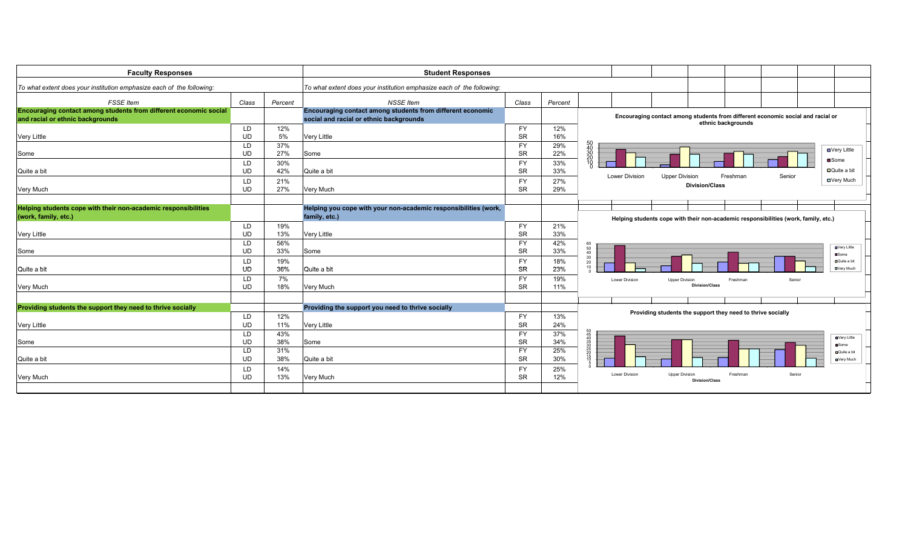| <b>Faculty Responses</b>                                                                              |           |         | <b>Student Responses</b>                                                                              |           |         |                                                                                                       |
|-------------------------------------------------------------------------------------------------------|-----------|---------|-------------------------------------------------------------------------------------------------------|-----------|---------|-------------------------------------------------------------------------------------------------------|
| To what extent does your institution emphasize each of the following:                                 |           |         | To what extent does your institution emphasize each of the following.                                 |           |         |                                                                                                       |
| <b>FSSE</b> Item                                                                                      | Class     | Percent | <b>NSSE Item</b>                                                                                      | Class     | Percent |                                                                                                       |
| Encouraging contact among students from different economic social<br>and racial or ethnic backgrounds |           |         | Encouraging contact among students from different economic<br>social and racial or ethnic backgrounds |           |         | Encouraging contact among students from different economic social and racial or<br>ethnic backgrounds |
|                                                                                                       | LD        | 12%     |                                                                                                       | FY        | 12%     |                                                                                                       |
| <b>Very Little</b>                                                                                    | <b>UD</b> | 5%      | <b>Very Little</b>                                                                                    | <b>SR</b> | 16%     |                                                                                                       |
|                                                                                                       | LD        | 37%     |                                                                                                       | FY        | 29%     | 50<br>40<br>30<br>30<br>20<br><b>□</b> Very Little                                                    |
| Some                                                                                                  | <b>UD</b> | 27%     | Some                                                                                                  | <b>SR</b> | 22%     |                                                                                                       |
|                                                                                                       | LD        | 30%     |                                                                                                       | FY        | 33%     | ■Some<br>īň.                                                                                          |
| Quite a bit                                                                                           | <b>UD</b> | 42%     | Quite a bit                                                                                           | <b>SR</b> | 33%     | $\Box$ Quite a bit<br><b>Lower Division</b>                                                           |
|                                                                                                       | LD.       | 21%     |                                                                                                       | <b>FY</b> | 27%     | <b>Upper Division</b><br>Freshman<br>Senior<br><b>□</b> Very Much                                     |
| Very Much                                                                                             | <b>UD</b> | 27%     | Very Much                                                                                             | <b>SR</b> | 29%     | <b>Division/Class</b>                                                                                 |
|                                                                                                       |           |         |                                                                                                       |           |         |                                                                                                       |
| Helping students cope with their non-academic responsibilities                                        |           |         | Helping you cope with your non-academic responsibilities (work,                                       |           |         |                                                                                                       |
| (work, family, etc.)                                                                                  |           |         | family, etc.)                                                                                         |           |         | Helping students cope with their non-academic responsibilities (work, family, etc.)                   |
|                                                                                                       | LD        | 19%     |                                                                                                       | <b>FY</b> | 21%     |                                                                                                       |
| <b>Very Little</b>                                                                                    | <b>UD</b> | 13%     | <b>Very Little</b>                                                                                    | <b>SR</b> | 33%     |                                                                                                       |
|                                                                                                       | LD        | 56%     |                                                                                                       | <b>FY</b> | 42%     | 60                                                                                                    |
| Some                                                                                                  | <b>UD</b> | 33%     | Some                                                                                                  | <b>SR</b> | 33%     | <b>D</b> Very Little<br>50<br>40<br><b>■Some</b>                                                      |
|                                                                                                       | LD        | 19%     |                                                                                                       | FY        | 18%     | 30<br>DQuite a bit<br>$\begin{array}{c} 20 \\ 10 \end{array}$                                         |
| Quite a bit                                                                                           | UD        | 36%     | Quite a bit                                                                                           | <b>SR</b> | 23%     | <b>DVery Much</b>                                                                                     |
|                                                                                                       | LD        | 7%      |                                                                                                       | <b>FY</b> | 19%     | Lower Division<br><b>Upper Division</b><br>Freshman<br>Senior                                         |
| Very Much                                                                                             | <b>UD</b> | 18%     | Very Much                                                                                             | <b>SR</b> | 11%     | <b>Division/Class</b>                                                                                 |
|                                                                                                       |           |         |                                                                                                       |           |         |                                                                                                       |
| Providing students the support they need to thrive socially                                           |           |         | Providing the support you need to thrive socially                                                     |           |         |                                                                                                       |
|                                                                                                       | LD        | 12%     |                                                                                                       | FY        | 13%     | Providing students the support they need to thrive socially                                           |
| <b>Very Little</b>                                                                                    | <b>UD</b> | 11%     | <b>Very Little</b>                                                                                    | <b>SR</b> | 24%     |                                                                                                       |
|                                                                                                       | LD        | 43%     |                                                                                                       | <b>FY</b> | 37%     |                                                                                                       |
| Some                                                                                                  | <b>UD</b> | 38%     | Some                                                                                                  | <b>SR</b> | 34%     | <b>D</b> Very Little<br><b>□</b> Some                                                                 |
|                                                                                                       | LD        | 31%     |                                                                                                       | FY        | 25%     | <b>D</b> Quite a bit                                                                                  |
| Quite a bit                                                                                           | <b>UD</b> | 38%     | Quite a bit                                                                                           | <b>SR</b> | 30%     | <b>OVery Much</b>                                                                                     |
|                                                                                                       | LD        | 14%     |                                                                                                       | FY        | 25%     |                                                                                                       |
| <b>Very Much</b>                                                                                      | <b>UD</b> | 13%     | Very Much                                                                                             | <b>SR</b> | 12%     | <b>Lower Division</b><br><b>Upper Division</b><br>Freshman<br>Senior<br><b>Division/Class</b>         |
|                                                                                                       |           |         |                                                                                                       |           |         |                                                                                                       |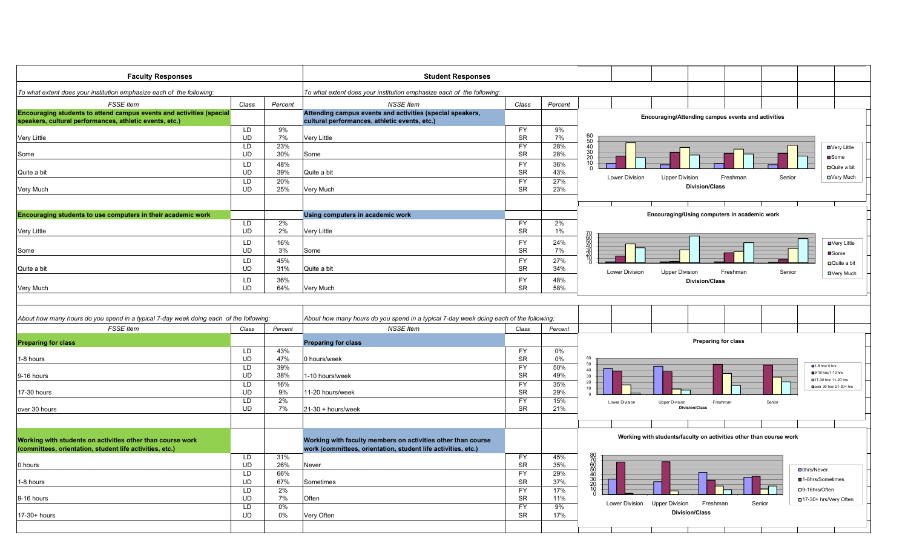| <b>Faculty Responses</b>                                                                                                        | <b>Student Responses</b>     |            |                                                                                                            |                        |              |                                               |                       |                                                                    |          |                                 |                          |
|---------------------------------------------------------------------------------------------------------------------------------|------------------------------|------------|------------------------------------------------------------------------------------------------------------|------------------------|--------------|-----------------------------------------------|-----------------------|--------------------------------------------------------------------|----------|---------------------------------|--------------------------|
| To what extent does your institution emphasize each of the following:                                                           |                              |            | To what extent does your institution emphasize each of the following:                                      |                        |              |                                               |                       |                                                                    |          |                                 |                          |
| <b>FSSE</b> Item                                                                                                                | Class                        | Percent    | <b>NSSE Item</b>                                                                                           | Class                  | Percent      |                                               |                       |                                                                    |          |                                 |                          |
| Encouraging students to attend campus events and activities (special<br>speakers, cultural performances, athletic events, etc.) |                              |            | Attending campus events and activities (special speakers,<br>cultural performances, athletic events, etc.) |                        |              |                                               |                       | Encouraging/Attending campus events and activities                 |          |                                 |                          |
|                                                                                                                                 | LD                           | 9%         |                                                                                                            | <b>FY</b>              | $9\%$        |                                               |                       |                                                                    |          |                                 |                          |
| <b>Very Little</b>                                                                                                              | UD<br>LD                     | 7%<br>23%  | Very Little                                                                                                | <b>SR</b><br><b>FY</b> | $7\%$<br>28% | 60<br>50<br>40<br>30<br>20                    |                       |                                                                    |          |                                 | <b>□</b> Very Little     |
| Some                                                                                                                            | <b>UD</b>                    | 30%        | Some                                                                                                       | <b>SR</b>              | 28%          |                                               |                       |                                                                    |          |                                 | <b>■</b> Some            |
|                                                                                                                                 | LD                           | 48%        |                                                                                                            | <b>FY</b>              | 36%          | $\frac{10}{0}$                                |                       |                                                                    |          |                                 | □Quite a bit             |
| Quite a bit                                                                                                                     | <b>UD</b>                    | 39%        | Quite a bit                                                                                                | <b>SR</b>              | 43%          |                                               | <b>Lower Division</b> | <b>Upper Division</b>                                              | Freshman | Senior                          | <b>□</b> Very Much       |
| Very Much                                                                                                                       | LD<br><b>UD</b>              | 20%<br>25% | Very Much                                                                                                  | <b>FY</b><br><b>SR</b> | 27%<br>23%   |                                               |                       | <b>Division/Class</b>                                              |          |                                 |                          |
|                                                                                                                                 |                              |            |                                                                                                            |                        |              |                                               |                       |                                                                    |          |                                 |                          |
|                                                                                                                                 |                              |            |                                                                                                            |                        |              |                                               |                       |                                                                    |          |                                 |                          |
| Encouraging students to use computers in their academic work                                                                    |                              |            | Using computers in academic work                                                                           |                        |              |                                               |                       | Encouraging/Using computers in academic work                       |          |                                 |                          |
| Very Little                                                                                                                     | <b>LD</b><br><b>UD</b>       | 2%<br>2%   | Very Little                                                                                                | <b>FY</b><br><b>SR</b> | 2%<br>$1\%$  |                                               |                       |                                                                    |          |                                 |                          |
|                                                                                                                                 | LD                           | 16%        |                                                                                                            | <b>FY</b>              | 24%          | 2002323                                       |                       |                                                                    |          |                                 |                          |
| Some                                                                                                                            | UD                           | 3%         | Some                                                                                                       | <b>SR</b>              | 7%           |                                               |                       |                                                                    |          |                                 | <b>□</b> Very Little     |
|                                                                                                                                 | LD                           | 45%        |                                                                                                            | <b>FY</b>              | 27%          |                                               |                       |                                                                    |          |                                 | ■Some<br>□Quite a bit    |
| Quite a bit                                                                                                                     | UD                           | 31%        | Quite a bit                                                                                                | <b>SR</b>              | 34%          |                                               | Lower Division        | <b>Upper Division</b>                                              | Freshman | Senior                          | □Very Much               |
|                                                                                                                                 | LD                           | 36%        |                                                                                                            | <b>FY</b>              | 48%          |                                               |                       | <b>Division/Class</b>                                              |          |                                 |                          |
| Very Much                                                                                                                       | <b>UD</b>                    | 64%        | Very Much                                                                                                  | <b>SR</b>              | 58%          |                                               |                       |                                                                    |          |                                 |                          |
| About how many hours do you spend in a typical 7-day week doing each of the following:<br><b>FSSE Item</b>                      | Class                        | Percent    | About how many hours do you spend in a typical 7-day week doing each of the following:<br><b>NSSE Item</b> | Class                  | Percent      |                                               |                       |                                                                    |          |                                 |                          |
|                                                                                                                                 |                              |            |                                                                                                            |                        |              |                                               |                       | <b>Preparing for class</b>                                         |          |                                 |                          |
| <b>Preparing for class</b>                                                                                                      | <b>LD</b>                    | 43%        | <b>Preparing for class</b>                                                                                 | <b>FY</b>              | 0%           |                                               |                       |                                                                    |          |                                 |                          |
| 1-8 hours                                                                                                                       | <b>UD</b>                    | 47%        | 0 hours/week                                                                                               | <b>SR</b>              | $0\%$        | 60                                            |                       |                                                                    |          |                                 |                          |
|                                                                                                                                 | LD                           | 39%        |                                                                                                            | <b>FY</b>              | 50%          | $50\,$<br>$40\,$                              |                       |                                                                    |          | $\blacksquare$ 1-8 hrs/ $0$ hrs | ■9-16 hrs/1-10 hrs       |
| 9-16 hours                                                                                                                      | <b>UD</b>                    | 38%        | 1-10 hours/week                                                                                            | <b>SR</b>              | 49%          | $\begin{array}{c} 30 \\ 20 \\ 10 \end{array}$ |                       |                                                                    |          |                                 | 017-30 hrs/ 11-20 hrs    |
| 17-30 hours                                                                                                                     | $\overline{LD}$<br><b>UD</b> | 16%<br>9%  | 11-20 hours/week                                                                                           | FY<br><b>SR</b>        | 35%<br>29%   |                                               |                       |                                                                    |          |                                 | Dover 30 hrs/ 21-30+ hrs |
|                                                                                                                                 | LD                           | 2%         |                                                                                                            | <b>FY</b>              | 15%          |                                               | Lower Division        | <b>Upper Division</b><br>Freshman                                  |          | Senior                          |                          |
| over 30 hours                                                                                                                   | <b>UD</b>                    | 7%         | 21-30 + hours/week                                                                                         | <b>SR</b>              | 21%          |                                               |                       | <b>Division/Class</b>                                              |          |                                 |                          |
|                                                                                                                                 |                              |            |                                                                                                            |                        |              |                                               |                       |                                                                    |          |                                 |                          |
|                                                                                                                                 |                              |            |                                                                                                            |                        |              |                                               |                       |                                                                    |          |                                 |                          |
| Working with students on activities other than course work                                                                      |                              |            | Working with faculty members on activities other than course                                               |                        |              |                                               |                       | Working with students/faculty on activities other than course work |          |                                 |                          |
| (committees, orientation, student life activities, etc.)                                                                        |                              |            | work (committees, orientation, student life activities, etc.)                                              |                        |              |                                               |                       |                                                                    |          |                                 |                          |
| 0 hours                                                                                                                         | <b>LD</b><br><b>UD</b>       | 31%<br>26% | Never                                                                                                      | <b>FY</b><br><b>SR</b> | 45%<br>35%   |                                               |                       |                                                                    |          |                                 |                          |
|                                                                                                                                 | LD                           | 66%        |                                                                                                            | <b>FY</b>              | 29%          | 80<br>70<br>60<br>50<br>30<br>20<br>20<br>70  |                       |                                                                    |          | <b>□</b> 0hrs/Never             |                          |
| 1-8 hours                                                                                                                       | UD                           | 67%        | Sometimes                                                                                                  | <b>SR</b>              | 37%          |                                               |                       |                                                                    |          | ■1-8hrs/Sometimes               |                          |
|                                                                                                                                 | LD.                          | 2%         |                                                                                                            | <b>FY</b>              | 17%          |                                               |                       |                                                                    |          | □9-16hrs/Often                  |                          |
| 9-16 hours                                                                                                                      | <b>UD</b><br>LD              | 7%<br>0%   | Often                                                                                                      | <b>SR</b><br><b>FY</b> | 11%<br>9%    |                                               | Lower Division        | <b>Upper Division</b><br>Freshman                                  | Senior   |                                 | □ 17-30+ hrs/Very Often  |
| 17-30+ hours                                                                                                                    | <b>UD</b>                    | 0%         | Very Often                                                                                                 | <b>SR</b>              | 17%          |                                               |                       | <b>Division/Class</b>                                              |          |                                 |                          |
|                                                                                                                                 |                              |            |                                                                                                            |                        |              |                                               |                       |                                                                    |          |                                 |                          |
|                                                                                                                                 |                              |            |                                                                                                            |                        |              |                                               |                       |                                                                    |          |                                 |                          |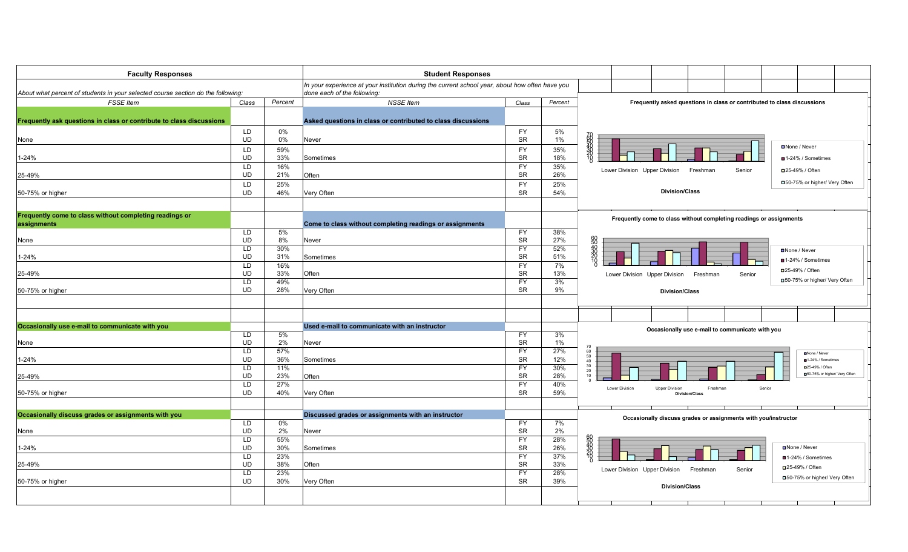| <b>Faculty Responses</b>                                                         |                        |            | <b>Student Responses</b>                                                                                                       |                        |            |                                                                                        |
|----------------------------------------------------------------------------------|------------------------|------------|--------------------------------------------------------------------------------------------------------------------------------|------------------------|------------|----------------------------------------------------------------------------------------|
| About what percent of students in your selected course section do the following: |                        |            | In your experience at your institution during the current school year, about how often have you<br>done each of the following: |                        |            |                                                                                        |
| <b>FSSE</b> Item                                                                 | Class                  | Percent    | <b>NSSE</b> Item                                                                                                               | Class                  | Percent    | Frequently asked questions in class or contributed to class discussions                |
|                                                                                  |                        |            |                                                                                                                                |                        |            |                                                                                        |
| Frequently ask questions in class or contribute to class discussions             |                        |            | Asked questions in class or contributed to class discussions                                                                   |                        |            |                                                                                        |
|                                                                                  | <b>LD</b>              | 0%         |                                                                                                                                | <b>FY</b>              | 5%         |                                                                                        |
| None                                                                             | UD                     | 0%         | Never                                                                                                                          | <b>SR</b>              | $1\%$      |                                                                                        |
|                                                                                  | LD                     | 59%        |                                                                                                                                | <b>FY</b>              | 35%        | ■None / Never                                                                          |
| 1-24%                                                                            | UD                     | 33%        | Sometimes                                                                                                                      | <b>SR</b>              | 18%        | ■1-24% / Sometimes                                                                     |
|                                                                                  | LD                     | 16%        |                                                                                                                                | <b>FY</b>              | 35%        |                                                                                        |
| 25-49%                                                                           | UD                     | 21%        | Often                                                                                                                          | <b>SR</b>              | 26%        | Lower Division Upper Division<br>Freshman<br>Senior<br>□25-49% / Often                 |
|                                                                                  | LD                     | 25%        |                                                                                                                                | <b>FY</b>              | 25%        | □50-75% or higher/ Very Often                                                          |
| 50-75% or higher                                                                 | UD                     | 46%        | Very Often                                                                                                                     | <b>SR</b>              | 54%        | <b>Division/Class</b>                                                                  |
|                                                                                  |                        |            |                                                                                                                                |                        |            |                                                                                        |
| Frequently come to class without completing readings or                          |                        |            |                                                                                                                                |                        |            |                                                                                        |
| assignments                                                                      |                        |            | Come to class without completing readings or assignments                                                                       |                        |            | Frequently come to class without completing readings or assignments                    |
|                                                                                  | LD                     | 5%         |                                                                                                                                | <b>FY</b>              | 38%        |                                                                                        |
| None                                                                             | <b>UD</b>              | 8%         | Never                                                                                                                          | <b>SR</b>              | 27%        | 60<br>540<br>30<br>20                                                                  |
|                                                                                  | LD                     | 30%        |                                                                                                                                | <b>FY</b>              | 52%        | <b>□</b> None / Never                                                                  |
| $1 - 24%$                                                                        | <b>UD</b>              | 31%        | Sometimes                                                                                                                      | <b>SR</b>              | 51%        | ■1-24% / Sometimes                                                                     |
|                                                                                  | LD<br><b>UD</b>        | 16%<br>33% |                                                                                                                                | FY<br><b>SR</b>        | 7%<br>13%  | □25-49% / Often                                                                        |
| 25-49%                                                                           | LD                     | 49%        | Often                                                                                                                          | <b>FY</b>              | 3%         | Lower Division Upper Division<br>Freshman<br>Senior<br>□50-75% or higher/ Very Often   |
| 50-75% or higher                                                                 | <b>UD</b>              | 28%        | Very Often                                                                                                                     | <b>SR</b>              | 9%         | <b>Division/Class</b>                                                                  |
|                                                                                  |                        |            |                                                                                                                                |                        |            |                                                                                        |
|                                                                                  |                        |            |                                                                                                                                |                        |            |                                                                                        |
|                                                                                  |                        |            |                                                                                                                                |                        |            |                                                                                        |
| Occasionally use e-mail to communicate with you                                  |                        |            | Used e-mail to communicate with an instructor                                                                                  |                        |            | Occasionally use e-mail to communicate with you                                        |
|                                                                                  | LD                     | 5%         |                                                                                                                                | <b>FY</b>              | 3%         |                                                                                        |
| None                                                                             | <b>UD</b>              | 2%         | Never                                                                                                                          | <b>SR</b>              | 1%         | 70                                                                                     |
| 1-24%                                                                            | <b>LD</b><br><b>UD</b> | 57%<br>36% |                                                                                                                                | <b>FY</b><br><b>SR</b> | 27%<br>12% | 60<br>None / Never<br>50                                                               |
|                                                                                  | LD                     | 11%        | Sometimes                                                                                                                      | <b>FY</b>              | 30%        | ■1-24% / Sometimes<br>40<br>30<br>□25-49% / Often                                      |
| 25-49%                                                                           | UD                     | 23%        | Often                                                                                                                          | <b>SR</b>              | 28%        | 20<br>□50-75% or higher/ Very Often<br>10                                              |
|                                                                                  | LD                     | 27%        |                                                                                                                                | <b>FY</b>              | 40%        |                                                                                        |
| 50-75% or higher                                                                 | UD                     | 40%        | Very Often                                                                                                                     | <b>SR</b>              | 59%        | Lower Division<br>Senior<br><b>Upper Division</b><br>Freshman<br><b>Division/Class</b> |
|                                                                                  |                        |            |                                                                                                                                |                        |            |                                                                                        |
| Occasionally discuss grades or assignments with you                              |                        |            | Discussed grades or assignments with an instructor                                                                             |                        |            |                                                                                        |
|                                                                                  | LD                     | 0%         |                                                                                                                                | <b>FY</b>              | 7%         | Occasionally discuss grades or assignments with you/instructor                         |
| None                                                                             | UD                     | 2%         | Never                                                                                                                          | SR                     | 2%         |                                                                                        |
|                                                                                  | LD                     | 55%        |                                                                                                                                | FY                     | 28%        |                                                                                        |
| $1 - 24%$                                                                        | <b>UD</b>              | 30%        | Sometimes                                                                                                                      | <b>SR</b>              | 26%        | <b>□</b> None / Never                                                                  |
|                                                                                  | <b>LD</b>              | 23%        |                                                                                                                                | <b>FY</b>              | 37%        | ■1-24% / Sometimes                                                                     |
| 25-49%                                                                           | <b>UD</b>              | 38%        | Often                                                                                                                          | <b>SR</b>              | 33%        | □25-49% / Often<br>Lower Division Upper Division<br>Freshman<br>Senior                 |
|                                                                                  | LD<br>UD               | 23%<br>30% |                                                                                                                                | <b>FY</b><br><b>SR</b> | 28%        | □50-75% or higher/ Very Often                                                          |
| 50-75% or higher                                                                 |                        |            | Very Often                                                                                                                     |                        | 39%        | <b>Division/Class</b>                                                                  |
|                                                                                  |                        |            |                                                                                                                                |                        |            |                                                                                        |
|                                                                                  |                        |            |                                                                                                                                |                        |            |                                                                                        |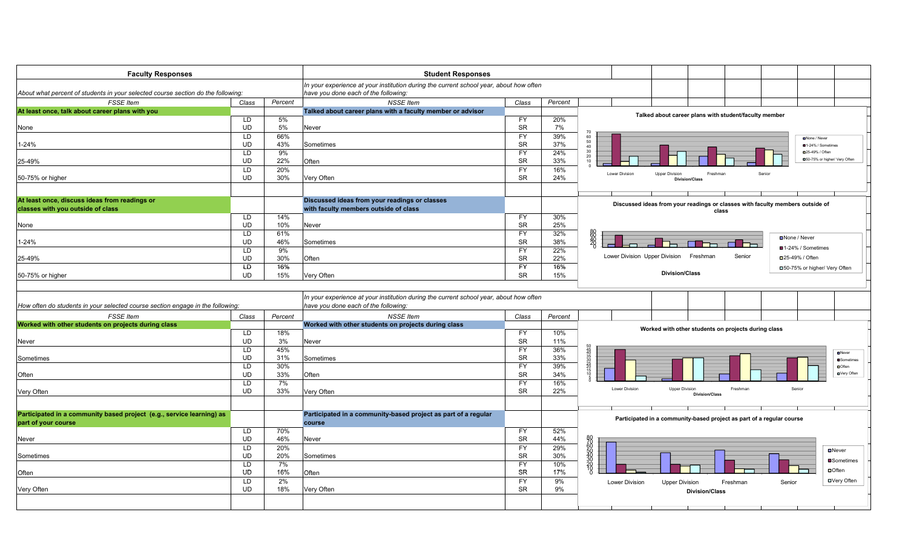| <b>Faculty Responses</b>                                                         |                 | <b>Student Responses</b> |                                                                                                                                |                 |         |                                                                                        |
|----------------------------------------------------------------------------------|-----------------|--------------------------|--------------------------------------------------------------------------------------------------------------------------------|-----------------|---------|----------------------------------------------------------------------------------------|
| About what percent of students in your selected course section do the following: |                 |                          | In your experience at your institution during the current school year, about how often<br>have you done each of the following: |                 |         |                                                                                        |
| <b>FSSE</b> Item                                                                 | Class           | Percent                  | <b>NSSE Item</b>                                                                                                               | Class           | Percent |                                                                                        |
| At least once, talk about career plans with you                                  |                 |                          | Talked about career plans with a faculty member or advisor                                                                     |                 |         |                                                                                        |
|                                                                                  | <b>LD</b>       | 5%                       |                                                                                                                                | <b>FY</b>       | 20%     | Talked about career plans with student/faculty member                                  |
| None                                                                             | <b>UD</b>       | 5%                       | Never                                                                                                                          | <b>SR</b>       | 7%      |                                                                                        |
|                                                                                  | LD              | 66%                      |                                                                                                                                | <b>FY</b>       | 39%     | 70                                                                                     |
| $-24%$                                                                           | <b>UD</b>       | 43%                      | Sometimes                                                                                                                      | <b>SR</b>       | 37%     | 60<br>50<br>40<br>30<br>20<br>20<br>10<br>None / Never                                 |
|                                                                                  | LD              | 9%                       |                                                                                                                                | <b>FY</b>       |         | ■1-24% / Sometimes<br>■25-49% / Often                                                  |
|                                                                                  |                 |                          |                                                                                                                                | <b>SR</b>       | 24%     | □50-75% or higher/ Very Often                                                          |
| 25-49%                                                                           | <b>UD</b><br>LD | 22%<br>20%               | Often                                                                                                                          | $\overline{FY}$ | 33%     |                                                                                        |
|                                                                                  |                 |                          |                                                                                                                                |                 | 16%     | Lower Division<br><b>Upper Division</b><br>Freshmar<br>Senior                          |
| 50-75% or higher                                                                 | <b>UD</b>       | 30%                      | Very Often                                                                                                                     | <b>SR</b>       | 24%     | <b>Division/Class</b>                                                                  |
| At least once, discuss ideas from readings or                                    |                 |                          | Discussed ideas from your readings or classes                                                                                  |                 |         |                                                                                        |
| classes with you outside of class                                                |                 |                          | with faculty members outside of class                                                                                          |                 |         | Discussed ideas from your readings or classes with faculty members outside of<br>class |
|                                                                                  | LD              | 14%                      |                                                                                                                                | <b>FY</b>       | 30%     |                                                                                        |
| None                                                                             | <b>UD</b>       | 10%                      | Never                                                                                                                          | <b>SR</b>       | 25%     |                                                                                        |
|                                                                                  | LD              | 61%                      |                                                                                                                                | <b>FY</b>       | 32%     |                                                                                        |
| 1-24%                                                                            | <b>UD</b>       | 46%                      | Sometimes                                                                                                                      | <b>SR</b>       | 38%     | <b>BC</b><br>PAC<br><b>□</b> None / Never                                              |
|                                                                                  | LD              | 9%                       |                                                                                                                                | <b>FY</b>       | 22%     | ■1-24% / Sometimes                                                                     |
| 25-49%                                                                           | <b>UD</b>       | 30%                      | Often                                                                                                                          | <b>SR</b>       | 22%     | Lower Division Upper Division<br>Freshman<br>Senior<br>□25-49% / Often                 |
|                                                                                  | <b>LD</b>       | 16%                      |                                                                                                                                | <b>FY</b>       | 16%     | □50-75% or higher/ Very Often                                                          |
| 50-75% or higher                                                                 | <b>UD</b>       | 15%                      | Very Often                                                                                                                     | <b>SR</b>       | 15%     | <b>Division/Class</b>                                                                  |
|                                                                                  |                 |                          |                                                                                                                                |                 |         |                                                                                        |
| How often do students in your selected course section engage in the following:   |                 |                          | In your experience at your institution during the current school year, about how often<br>have you done each of the following. |                 |         |                                                                                        |
| <b>FSSE</b> Item                                                                 | Class           | Percent                  | <b>NSSE Item</b>                                                                                                               | Class           | Percent |                                                                                        |
| Worked with other students on projects during class                              |                 |                          | Worked with other students on projects during class                                                                            |                 |         |                                                                                        |
|                                                                                  | LD              | 18%                      |                                                                                                                                | <b>FY</b>       | 10%     | Worked with other students on projects during class                                    |
| Never                                                                            | <b>UD</b>       | 3%                       | Never                                                                                                                          | <b>SR</b>       | 11%     |                                                                                        |
|                                                                                  | LD              | 45%                      |                                                                                                                                | <b>FY</b>       | 36%     |                                                                                        |
| Sometimes                                                                        | UD              | 31%                      | Sometimes                                                                                                                      | <b>SR</b>       | 33%     | <b>D</b> Never<br>Sometimes                                                            |
|                                                                                  | LD              | 30%                      |                                                                                                                                | <b>FY</b>       | 39%     | $\Box$ Ofter                                                                           |
| Often                                                                            | UD              | 33%                      | Often                                                                                                                          | <b>SR</b>       | 34%     | <b>D</b> Very Often                                                                    |
|                                                                                  | LD              | 7%                       |                                                                                                                                | <b>FY</b>       | 16%     |                                                                                        |
| Very Often                                                                       | <b>UD</b>       | 33%                      | Very Often                                                                                                                     | SR              | 22%     | Lower Division<br><b>Upper Division</b><br>Freshman                                    |
|                                                                                  |                 |                          |                                                                                                                                |                 |         | <b>Division/Class</b>                                                                  |
| Participated in a community based project (e.g., service learning) as            |                 |                          | Participated in a community-based project as part of a regular                                                                 |                 |         | Participated in a community-based project as part of a regular course                  |
| part of your course                                                              |                 |                          | course                                                                                                                         |                 |         |                                                                                        |
|                                                                                  | LD              | 70%                      |                                                                                                                                | <b>FY</b>       | 52%     |                                                                                        |
| Never                                                                            | <b>UD</b>       | 46%                      | Never                                                                                                                          | <b>SR</b>       | 44%     |                                                                                        |
|                                                                                  | LD              | 20%                      |                                                                                                                                | <b>FY</b>       | 29%     | $\blacksquare$ Never                                                                   |
| Sometimes                                                                        | <b>UD</b>       | 20%                      | Sometimes                                                                                                                      | <b>SR</b>       | 30%     |                                                                                        |
|                                                                                  | LD              | 7%                       |                                                                                                                                | <b>FY</b>       | 10%     | ■Sometimes                                                                             |
| Often                                                                            | <b>UD</b>       | 16%                      | Often                                                                                                                          | <b>SR</b>       | 17%     | $\Box$ Often                                                                           |
|                                                                                  | LD              | 2%                       |                                                                                                                                | <b>FY</b>       | 9%      | □Very Often<br><b>Lower Division</b><br><b>Upper Division</b><br>Senior<br>Freshman    |
| Very Often                                                                       | <b>UD</b>       | 18%                      | Very Often                                                                                                                     | <b>SR</b>       | 9%      | <b>Division/Class</b>                                                                  |
|                                                                                  |                 |                          |                                                                                                                                |                 |         |                                                                                        |
|                                                                                  |                 |                          |                                                                                                                                |                 |         |                                                                                        |
|                                                                                  |                 |                          |                                                                                                                                |                 |         |                                                                                        |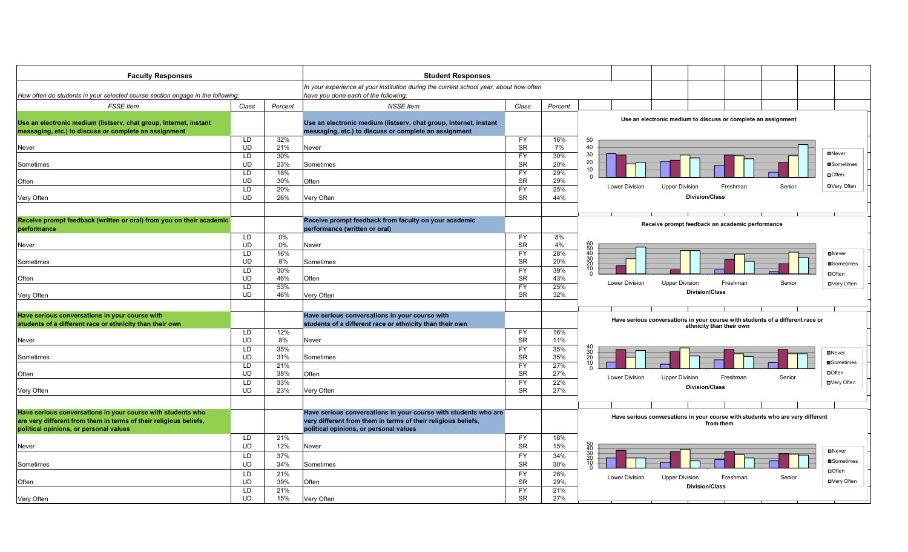| <b>Faculty Responses</b>                                                                                   |                 |            | <b>Student Responses</b>                                                                                   |                        |            |                                                     |                                                                                |
|------------------------------------------------------------------------------------------------------------|-----------------|------------|------------------------------------------------------------------------------------------------------------|------------------------|------------|-----------------------------------------------------|--------------------------------------------------------------------------------|
|                                                                                                            |                 |            | In your experience at your institution during the current school year, about how often                     |                        |            |                                                     |                                                                                |
| How often do students in your selected course section engage in the following:                             |                 |            | have you done each of the following:                                                                       |                        |            |                                                     |                                                                                |
| <b>FSSE</b> Item                                                                                           | Class           | Percent    | <b>NSSE</b> Item                                                                                           | Class                  | Percent    |                                                     |                                                                                |
| Use an electronic medium (listserv, chat group, Internet, instant                                          |                 |            | Use an electronic medium (listserv, chat group, Internet, instant                                          |                        |            |                                                     | Use an electronic medium to discuss or complete an assignment                  |
| messaging, etc.) to discuss or complete an assignment                                                      |                 |            | messaging, etc.) to discuss or complete an assignment                                                      |                        |            |                                                     |                                                                                |
| Never                                                                                                      | LD<br><b>UD</b> | 32%<br>21% | Never                                                                                                      | <b>FY</b><br><b>SR</b> | 16%<br>7%  | 50<br>40                                            |                                                                                |
|                                                                                                            | LD              | 30%        |                                                                                                            | <b>FY</b>              | 30%        | 30                                                  | $D$ Never                                                                      |
| Sometimes                                                                                                  | <b>UD</b>       | 23%        | Sometimes                                                                                                  | <b>SR</b>              | 20%        | 20<br>10                                            | ■Sometimes                                                                     |
|                                                                                                            | LD<br><b>UD</b> | 18%<br>30% |                                                                                                            | <b>FY</b><br><b>SR</b> | 29%        | $\Omega$                                            | $\Box$ Often                                                                   |
| Often                                                                                                      | LD              | 20%        | Often                                                                                                      | <b>FY</b>              | 29%<br>25% | <b>Lower Division</b>                               | Freshman<br><b>□</b> Very Often<br><b>Upper Division</b><br>Senior             |
| Very Often                                                                                                 | <b>UD</b>       | 26%        | Very Often                                                                                                 | <b>SR</b>              | 44%        |                                                     | <b>Division/Class</b>                                                          |
|                                                                                                            |                 |            |                                                                                                            |                        |            |                                                     |                                                                                |
| Receive prompt feedback (written or oral) from you on their academic                                       |                 |            | Receive prompt feedback from faculty on your academic                                                      |                        |            |                                                     |                                                                                |
| performance                                                                                                |                 |            | performance (written or oral)                                                                              |                        |            |                                                     | Receive prompt feedback on academic performance                                |
|                                                                                                            | LD              | 0%         |                                                                                                            | FY                     | 8%         |                                                     |                                                                                |
| Never                                                                                                      | <b>UD</b><br>LD | 0%<br>16%  | Never                                                                                                      | <b>SR</b><br><b>FY</b> | 4%<br>28%  | 60<br>50<br>40<br>30<br>20<br>10                    | $\square$ Never                                                                |
| Sometimes                                                                                                  | <b>UD</b>       | 8%         | Sometimes                                                                                                  | <b>SR</b>              | 20%        |                                                     | ■Sometimes                                                                     |
|                                                                                                            | LD              | 30%        |                                                                                                            | <b>FY</b>              | 39%        |                                                     | <b>D</b> Often                                                                 |
| Often                                                                                                      | <b>UD</b>       | 46%        | Often                                                                                                      | <b>SR</b>              | 43%        | Lower Division                                      | <b>Upper Division</b><br>Freshman<br>Senior                                    |
|                                                                                                            | LD              | 53%        |                                                                                                            | <b>FY</b>              | 25%        |                                                     | <b>□</b> Very Often<br><b>Division/Class</b>                                   |
| Very Often                                                                                                 | <b>UD</b>       | 46%        | Very Often                                                                                                 | <b>SR</b>              | 32%        |                                                     |                                                                                |
|                                                                                                            |                 |            |                                                                                                            |                        |            |                                                     |                                                                                |
| Have serious conversations in your course with<br>students of a different race or ethnicity than their own |                 |            | Have serious conversations in your course with<br>students of a different race or ethnicity than their own |                        |            |                                                     | Have serious conversations in your course with students of a different race or |
|                                                                                                            | LD              | 12%        |                                                                                                            | FY.                    | 16%        |                                                     | ethnicity than their own                                                       |
| Never                                                                                                      | <b>UD</b>       | 8%         | Never                                                                                                      | <b>SR</b>              | 11%        |                                                     |                                                                                |
|                                                                                                            | LD              | 35%        |                                                                                                            | <b>FY</b>              | 35%        |                                                     | $D$ Never                                                                      |
| Sometimes                                                                                                  | <b>UD</b><br>LD | 31%<br>21% | Sometimes                                                                                                  | <b>SR</b><br><b>FY</b> | 35%<br>27% | $\begin{array}{c} 40 \\ 30 \\ 20 \\ 10 \end{array}$ | <b>Sometimes</b>                                                               |
| Often                                                                                                      | <b>UD</b>       | 38%        | Often                                                                                                      | <b>SR</b>              | 27%        | $\Omega$                                            | $\Box$ Often                                                                   |
|                                                                                                            | LD              | 33%        |                                                                                                            | <b>FY</b>              | 22%        | Lower Division                                      | <b>Upper Division</b><br>Freshman<br>Senior<br><b>□</b> Very Often             |
| Very Often                                                                                                 | <b>UD</b>       | 23%        | Very Often                                                                                                 | <b>SR</b>              | 27%        |                                                     | <b>Division/Class</b>                                                          |
|                                                                                                            |                 |            |                                                                                                            |                        |            |                                                     |                                                                                |
| Have serious conversations in your course with students who                                                |                 |            | Have serious conversations in your course with students who are                                            |                        |            |                                                     | Have serious conversations in your course with students who are very different |
| are very different from them in terms of their religious beliefs,                                          |                 |            | very different from them in terms of their religious beliefs,                                              |                        |            |                                                     | from them                                                                      |
| political opinions, or personal values                                                                     | LD              | 21%        | political opinions, or personal values                                                                     | FY                     | 18%        |                                                     |                                                                                |
| Never                                                                                                      | <b>UD</b>       | 12%        | Never                                                                                                      | <b>SR</b>              | 15%        |                                                     |                                                                                |
|                                                                                                            | LD              | 37%        |                                                                                                            | <b>FY</b>              | 34%        | 50<br>40<br>30<br>20<br>20<br>10                    | $\blacksquare$ Never                                                           |
| Sometimes                                                                                                  | <b>UD</b>       | 34%        | Sometimes                                                                                                  | SR                     | 30%        |                                                     | ■Sometimes                                                                     |
|                                                                                                            | LD              | 21%        |                                                                                                            | <b>FY</b>              | 28%        | Lower Division                                      | $\Box$ Often<br><b>Upper Division</b><br>Freshman<br>Senior                    |
| Often                                                                                                      | <b>UD</b>       | 39%        | Often                                                                                                      | <b>SR</b>              | 29%        |                                                     | <b>□</b> Very Often<br><b>Division/Class</b>                                   |
| Very Often                                                                                                 | LD<br><b>UD</b> | 21%<br>15% | Very Often                                                                                                 | <b>FY</b><br><b>SR</b> | 21%<br>27% |                                                     |                                                                                |
|                                                                                                            |                 |            |                                                                                                            |                        |            |                                                     |                                                                                |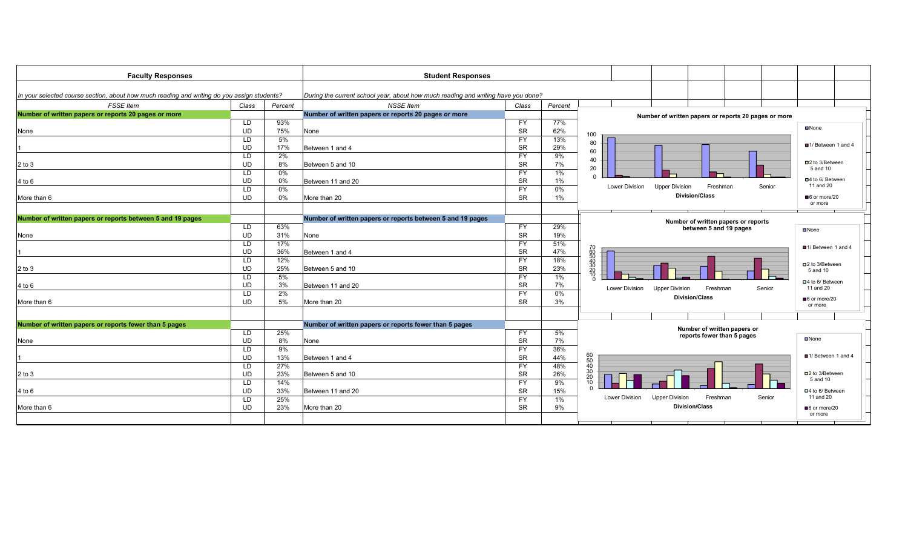| <b>Faculty Responses</b>                                                                    |                  |         | <b>Student Responses</b>                                                          |           |         |                                                               |                             |
|---------------------------------------------------------------------------------------------|------------------|---------|-----------------------------------------------------------------------------------|-----------|---------|---------------------------------------------------------------|-----------------------------|
|                                                                                             |                  |         |                                                                                   |           |         |                                                               |                             |
| In your selected course section, about how much reading and writing do you assign students? |                  |         | During the current school year, about how much reading and writing have you done? |           |         |                                                               |                             |
| <b>FSSE Item</b>                                                                            | Class            | Percent | <b>NSSE Item</b>                                                                  | Class     | Percent |                                                               |                             |
| Number of written papers or reports 20 pages or more                                        |                  |         | Number of written papers or reports 20 pages or more                              |           |         | Number of written papers or reports 20 pages or more          |                             |
|                                                                                             | LD.              | 93%     |                                                                                   | <b>FY</b> | 77%     |                                                               |                             |
| None                                                                                        | <b>UD</b>        | 75%     | None                                                                              | SR        | 62%     | 100                                                           | $\n  None\n$                |
|                                                                                             | <b>LD</b>        | 5%      |                                                                                   | <b>FY</b> | 13%     | 80                                                            |                             |
|                                                                                             | <b>UD</b>        | 17%     | Between 1 and 4                                                                   | <b>SR</b> | 29%     | 60                                                            | ■1/ Between 1 and 4         |
|                                                                                             | LD.              | 2%      |                                                                                   | <b>FY</b> | 9%      | 40                                                            |                             |
| $2$ to $3$                                                                                  | <b>UD</b>        | 8%      | Between 5 and 10                                                                  | <b>SR</b> | 7%      | 20                                                            | □2 to 3/Between<br>5 and 10 |
|                                                                                             | LD.              | 0%      |                                                                                   | <b>FY</b> | 1%      |                                                               |                             |
| 4 to 6                                                                                      | <b>UD</b>        | 0%      | Between 11 and 20                                                                 | <b>SR</b> | 1%      |                                                               | □4 to 6/ Between            |
|                                                                                             | LD.              | $0\%$   |                                                                                   | <b>FY</b> | 0%      | Lower Division<br><b>Upper Division</b><br>Freshman<br>Senior | 11 and 20                   |
| More than 6                                                                                 | <b>UD</b>        | 0%      | More than 20                                                                      | <b>SR</b> | 1%      | <b>Division/Class</b>                                         | 6 or more/20                |
|                                                                                             |                  |         |                                                                                   |           |         |                                                               | or more                     |
| Number of written papers or reports between 5 and 19 pages                                  |                  |         |                                                                                   |           |         |                                                               |                             |
|                                                                                             |                  |         | Number of written papers or reports between 5 and 19 pages                        |           |         | Number of written papers or reports                           |                             |
|                                                                                             | LD.<br><b>UD</b> | 63%     |                                                                                   | <b>FY</b> | 29%     | between 5 and 19 pages                                        | $\n  None\n$                |
| None                                                                                        |                  | 31%     | None                                                                              | <b>SR</b> | 19%     |                                                               |                             |
|                                                                                             | LD               | 17%     |                                                                                   | FY        | 51%     |                                                               | ■1/ Between 1 and 4         |
|                                                                                             | <b>UD</b>        | 36%     | Between 1 and 4                                                                   | <b>SR</b> | 47%     | 70<br>50<br>50<br>30<br>30<br>30                              |                             |
|                                                                                             | LD               | 12%     |                                                                                   | <b>FY</b> | 18%     |                                                               | □2 to 3/Between             |
| $2$ to $3$                                                                                  | <b>UD</b>        | 25%     | Between 5 and 10                                                                  | SR        | 23%     |                                                               | 5 and 10                    |
|                                                                                             | LD               | 5%      |                                                                                   | <b>FY</b> | 1%      |                                                               | □4 to 6/ Between            |
| 4 to 6                                                                                      | <b>UD</b>        | 3%      | Between 11 and 20                                                                 | <b>SR</b> | 7%      | Lower Division<br><b>Upper Division</b><br>Freshman<br>Senior | 11 and 20                   |
|                                                                                             | LD               | 2%      |                                                                                   | <b>FY</b> | 0%      | <b>Division/Class</b>                                         | ■6 or more/20               |
| More than 6                                                                                 | <b>UD</b>        | 5%      | More than 20                                                                      | <b>SR</b> | 3%      |                                                               | or more                     |
|                                                                                             |                  |         |                                                                                   |           |         |                                                               |                             |
| Number of written papers or reports fewer than 5 pages                                      |                  |         | Number of written papers or reports fewer than 5 pages                            |           |         |                                                               |                             |
|                                                                                             | LD.              | 25%     |                                                                                   | <b>FY</b> | 5%      | Number of written papers or                                   |                             |
| None                                                                                        | <b>UD</b>        | 8%      | None                                                                              | <b>SR</b> | 7%      | reports fewer than 5 pages                                    | $\n  None\n$                |
|                                                                                             | LD.              | 9%      |                                                                                   | <b>FY</b> | 36%     |                                                               |                             |
|                                                                                             | <b>UD</b>        | 13%     | Between 1 and 4                                                                   | SR        | 44%     |                                                               | ■1/ Between 1 and 4         |
|                                                                                             | LD.              | 27%     |                                                                                   | <b>FY</b> | 48%     | $\begin{array}{c} 60 \\ 50 \\ 40 \end{array}$                 |                             |
| $2$ to $3$                                                                                  | <b>UD</b>        | 23%     | Between 5 and 10                                                                  | <b>SR</b> | 26%     | $\frac{30}{20}$                                               | □2 to 3/Between             |
|                                                                                             | <b>LD</b>        | 14%     |                                                                                   | <b>FY</b> | 9%      | 10                                                            | 5 and 10                    |
| 4 to 6                                                                                      | <b>UD</b>        | 33%     | Between 11 and 20                                                                 | <b>SR</b> | 15%     |                                                               | □4 to 6/ Between            |
|                                                                                             | LD.              | 25%     |                                                                                   | <b>FY</b> | 1%      | Lower Division<br><b>Upper Division</b><br>Freshman<br>Senior | 11 and 20                   |
| More than 6                                                                                 | <b>UD</b>        | 23%     | More than 20                                                                      | <b>SR</b> | 9%      | <b>Division/Class</b>                                         | 6 or more/20                |
|                                                                                             |                  |         |                                                                                   |           |         |                                                               | or more                     |
|                                                                                             |                  |         |                                                                                   |           |         |                                                               |                             |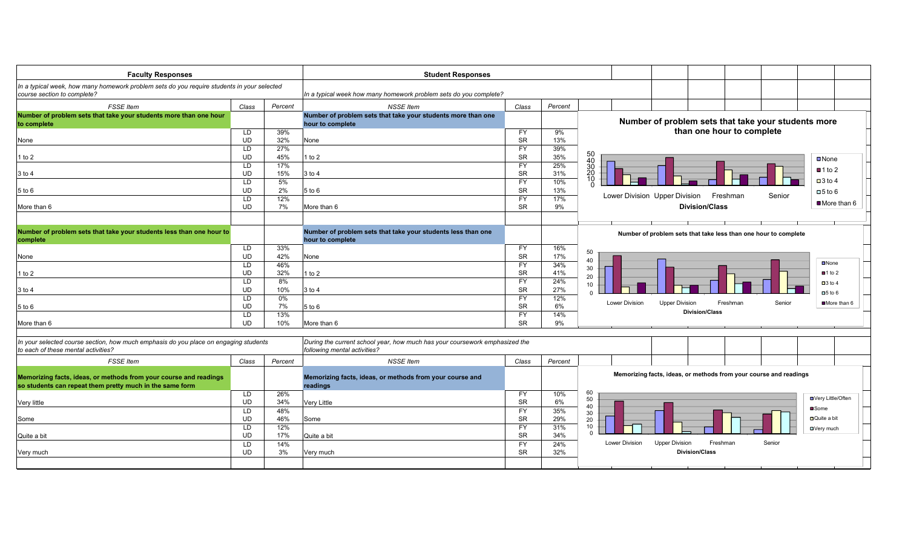| <b>Faculty Responses</b>                                                                                                    |           |            | <b>Student Responses</b>                                                                                    |                        |            |                                                                      |              |
|-----------------------------------------------------------------------------------------------------------------------------|-----------|------------|-------------------------------------------------------------------------------------------------------------|------------------------|------------|----------------------------------------------------------------------|--------------|
| In a typical week, how many homework problem sets do you require students in your selected<br>course section to complete?   |           |            | In a typical week how many homework problem sets do you complete?                                           |                        |            |                                                                      |              |
| <b>FSSE</b> Item                                                                                                            | Class     | Percent    | <b>NSSE Item</b>                                                                                            | Class                  | Percent    |                                                                      |              |
| Number of problem sets that take your students more than one hour                                                           |           |            | Number of problem sets that take your students more than one                                                |                        |            |                                                                      |              |
| to complete                                                                                                                 |           |            | hour to complete                                                                                            |                        |            | Number of problem sets that take your students more                  |              |
|                                                                                                                             | LD        | 39%        |                                                                                                             | FY                     | 9%         | than one hour to complete                                            |              |
| None                                                                                                                        | UD        | 32%        | None                                                                                                        | <b>SR</b>              | 13%        |                                                                      |              |
|                                                                                                                             | LD<br>UD  | 27%<br>45% |                                                                                                             | FY                     | 39%<br>35% |                                                                      |              |
| l to 2                                                                                                                      | LD        | 17%        | 1 to 2                                                                                                      | <b>SR</b><br>FY        | 25%        | 50<br>40<br>30<br>20<br><b>□</b> None                                |              |
| 3 to 4                                                                                                                      | UD        | 15%        | 3 to 4                                                                                                      | <b>SR</b>              | 31%        | $\blacksquare$ 1 to 2                                                |              |
|                                                                                                                             | LD        | 5%         |                                                                                                             | FY                     | 10%        | 10<br>$\Box$ 3 to 4                                                  |              |
| 5 to 6                                                                                                                      | <b>UD</b> | 2%         | 5 to 6                                                                                                      | <b>SR</b>              | 13%        | $\Box 5$ to 6                                                        |              |
|                                                                                                                             | LD        | 12%        |                                                                                                             | FY                     | 17%        | Lower Division Upper Division<br>Freshman<br>Senior                  |              |
| More than 6                                                                                                                 | <b>UD</b> | 7%         | More than 6                                                                                                 | <b>SR</b>              | 9%         | <b>Division/Class</b>                                                | ■More than 6 |
|                                                                                                                             |           |            |                                                                                                             |                        |            |                                                                      |              |
| Number of problem sets that take your students less than one hour to                                                        |           |            | Number of problem sets that take your students less than one                                                |                        |            | Number of problem sets that take less than one hour to complete      |              |
| complete                                                                                                                    |           |            | hour to complete                                                                                            |                        |            |                                                                      |              |
|                                                                                                                             | LD        | 33%        |                                                                                                             | <b>FY</b>              | 16%        | 50                                                                   |              |
| None                                                                                                                        | <b>UD</b> | 42%        | None                                                                                                        | <b>SR</b>              | 17%        | 40<br><b>D</b> None                                                  |              |
|                                                                                                                             | LD<br>UD  | 46%<br>32% |                                                                                                             | <b>FY</b><br><b>SR</b> | 34%<br>41% | 30<br>$\blacksquare$ 1 to 2                                          |              |
| l to 2                                                                                                                      | LD        | 8%         | 1 to 2                                                                                                      | FY                     | 24%        | 20                                                                   |              |
| 3 to 4                                                                                                                      | <b>UD</b> | 10%        | 3 to 4                                                                                                      | <b>SR</b>              | 27%        | $\Box$ 3 to 4<br>10                                                  |              |
|                                                                                                                             | LD        | 0%         |                                                                                                             | FY                     | 12%        | $\Box 5$ to 6                                                        |              |
| 5 to 6                                                                                                                      | UD        | 7%         | $5$ to $6$                                                                                                  | <b>SR</b>              | 6%         | Lower Division<br><b>Upper Division</b><br>Freshman<br>Senior        | More than 6  |
|                                                                                                                             | LD        | 13%        |                                                                                                             | FY                     | 14%        | <b>Division/Class</b>                                                |              |
| More than 6                                                                                                                 | <b>UD</b> | 10%        | More than 6                                                                                                 | <b>SR</b>              | 9%         |                                                                      |              |
|                                                                                                                             |           |            |                                                                                                             |                        |            |                                                                      |              |
| In your selected course section, how much emphasis do you place on engaging students<br>to each of these mental activities? |           |            | During the current school year, how much has your coursework emphasized the<br>following mental activities? |                        |            |                                                                      |              |
| <b>FSSE</b> Item                                                                                                            | Class     | Percent    | <b>NSSE Item</b>                                                                                            | Class                  | Percent    |                                                                      |              |
|                                                                                                                             |           |            |                                                                                                             |                        |            | Memorizing facts, ideas, or methods from your course and readings    |              |
| Memorizing facts, ideas, or methods from your course and readings                                                           |           |            | Memorizing facts, ideas, or methods from your course and                                                    |                        |            |                                                                      |              |
| so students can repeat them pretty much in the same form                                                                    |           |            | readings                                                                                                    |                        |            |                                                                      |              |
|                                                                                                                             | LD        | 26%        |                                                                                                             | FY                     | 10%        | 60<br>50<br>■Very Little/Often                                       |              |
| Very little                                                                                                                 | UD        | 34%        | Very Little                                                                                                 | <b>SR</b>              | 6%         | 40<br><b>■</b> Some                                                  |              |
|                                                                                                                             | LD<br>UD  | 48%<br>46% |                                                                                                             | <b>FY</b><br><b>SR</b> | 35%<br>29% | 30<br><b>□</b> Quite a bit                                           |              |
| Some                                                                                                                        | LD        | 12%        | Some                                                                                                        | FY                     | 31%        | 20<br>10                                                             |              |
| Quite a bit                                                                                                                 | UD        | 17%        | Quite a bit                                                                                                 | <b>SR</b>              | 34%        | □Very much<br>$\Omega$                                               |              |
|                                                                                                                             | LD        | 14%        |                                                                                                             | FY                     | 24%        | <b>Upper Division</b><br>Freshman<br>Senior<br><b>Lower Division</b> |              |
| Very much                                                                                                                   | UD        | 3%         | Very much                                                                                                   | <b>SR</b>              | 32%        | <b>Division/Class</b>                                                |              |
|                                                                                                                             |           |            |                                                                                                             |                        |            |                                                                      |              |
|                                                                                                                             |           |            |                                                                                                             |                        |            |                                                                      |              |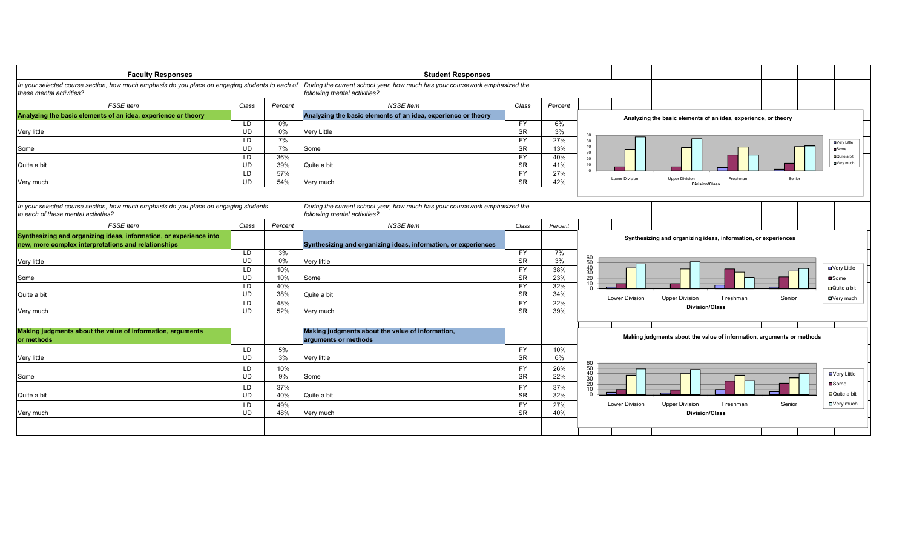| <b>Faculty Responses</b>                                                                                                    |           |         | <b>Student Responses</b>                                                                                    |           |         |                                                                                     |
|-----------------------------------------------------------------------------------------------------------------------------|-----------|---------|-------------------------------------------------------------------------------------------------------------|-----------|---------|-------------------------------------------------------------------------------------|
| In your selected course section, how much emphasis do you place on engaging students to each of<br>these mental activities? |           |         | During the current school year, how much has your coursework emphasized the<br>following mental activities? |           |         |                                                                                     |
| <b>FSSE</b> Item                                                                                                            | Class     | Percent | <b>NSSE</b> Item                                                                                            | Class     | Percent |                                                                                     |
| Analyzing the basic elements of an idea, experience or theory                                                               |           |         | Analyzing the basic elements of an idea, experience or theory                                               |           |         | Analyzing the basic elements of an idea, experience, or theory                      |
|                                                                                                                             | LD        | 0%      |                                                                                                             | <b>FY</b> | 6%      |                                                                                     |
| Very little                                                                                                                 | <b>UD</b> | $0\%$   | Very Little                                                                                                 | SR        | 3%      | 60                                                                                  |
|                                                                                                                             | LD        | 7%      |                                                                                                             | <b>FY</b> | 27%     | 50<br><b>OVery Little</b>                                                           |
| Some                                                                                                                        | UD        | 7%      | Some                                                                                                        | <b>SR</b> | 13%     | 40<br><b>u</b> Some<br>30                                                           |
|                                                                                                                             | LD        | 36%     |                                                                                                             | <b>FY</b> | 40%     | <b>D</b> Quite a bit<br>20                                                          |
| Quite a bit                                                                                                                 | UD        | 39%     | Quite a bit                                                                                                 | SR        | 41%     | <b>O</b> Very much<br>10                                                            |
|                                                                                                                             | LD        | 57%     |                                                                                                             | <b>FY</b> | 27%     | Lower Division<br><b>Upper Division</b><br>Freshman<br>Senior                       |
| Very much                                                                                                                   | <b>UD</b> | 54%     | Very much                                                                                                   | <b>SR</b> | 42%     | <b>Division/Class</b>                                                               |
|                                                                                                                             |           |         |                                                                                                             |           |         |                                                                                     |
| In your selected course section, how much emphasis do you place on engaging students<br>to each of these mental activities? |           |         | During the current school year, how much has your coursework emphasized the<br>following mental activities? |           |         |                                                                                     |
| <b>FSSE</b> Item                                                                                                            | Class     | Percent | <b>NSSE</b> Item                                                                                            | Class     | Percent |                                                                                     |
| Synthesizing and organizing ideas, information, or experience into<br>new, more complex interpretations and relationships   |           |         | Synthesizing and organizing ideas, information, or experiences                                              |           |         | Synthesizing and organizing ideas, information, or experiences                      |
|                                                                                                                             | LD        | 3%      |                                                                                                             | <b>FY</b> | 7%      |                                                                                     |
| Very little                                                                                                                 | UD        | $0\%$   | Very little                                                                                                 | SR        | 3%      | 60<br>50<br>40<br>30<br>20<br>10                                                    |
|                                                                                                                             | LD        | 10%     |                                                                                                             | <b>FY</b> | 38%     | ■Very Little                                                                        |
| Some                                                                                                                        | UD        | 10%     | Some                                                                                                        | <b>SR</b> | 23%     | ■Some                                                                               |
|                                                                                                                             | LD        | 40%     |                                                                                                             | <b>FY</b> | 32%     | □ Quite a bit                                                                       |
| Quite a bit                                                                                                                 | <b>UD</b> | 38%     | Quite a bit                                                                                                 | SR        | 34%     | <b>Lower Division</b><br><b>Upper Division</b><br>Freshman<br>Senior<br>□ Very much |
|                                                                                                                             | LD        | 48%     |                                                                                                             | FY        | 22%     | <b>Division/Class</b>                                                               |
| Very much                                                                                                                   | <b>UD</b> | 52%     | Very much                                                                                                   | <b>SR</b> | 39%     |                                                                                     |
|                                                                                                                             |           |         |                                                                                                             |           |         |                                                                                     |
| Making judgments about the value of information, arguments<br>or methods                                                    |           |         | Making judgments about the value of information,<br>arguments or methods                                    |           |         | Making judgments about the value of information, arguments or methods               |
|                                                                                                                             | LD        | 5%      |                                                                                                             | <b>FY</b> | 10%     |                                                                                     |
| Very little                                                                                                                 | <b>UD</b> | 3%      | Very little                                                                                                 | <b>SR</b> | 6%      |                                                                                     |
|                                                                                                                             | LD        | 10%     |                                                                                                             | <b>FY</b> | 26%     |                                                                                     |
| Some                                                                                                                        | <b>UD</b> | 9%      | Some                                                                                                        | SR        | 22%     | <b>□</b> Very Little                                                                |
|                                                                                                                             | LD        | 37%     |                                                                                                             | <b>FY</b> | 37%     | 60<br>50<br>40<br>30<br>20<br>20<br>10<br>■Some                                     |
| Quite a bit                                                                                                                 | <b>UD</b> | 40%     | Quite a bit                                                                                                 | <b>SR</b> | 32%     | <b>□</b> Quite a bit<br>n                                                           |
|                                                                                                                             | LD        | 49%     |                                                                                                             | <b>FY</b> | 27%     | Lower Division<br><b>Upper Division</b><br>Freshman<br><b>OVery much</b><br>Senior  |
|                                                                                                                             | <b>UD</b> | 48%     |                                                                                                             | <b>SR</b> | 40%     | <b>Division/Class</b>                                                               |
| Very much                                                                                                                   |           |         | Very much                                                                                                   |           |         |                                                                                     |
|                                                                                                                             |           |         |                                                                                                             |           |         |                                                                                     |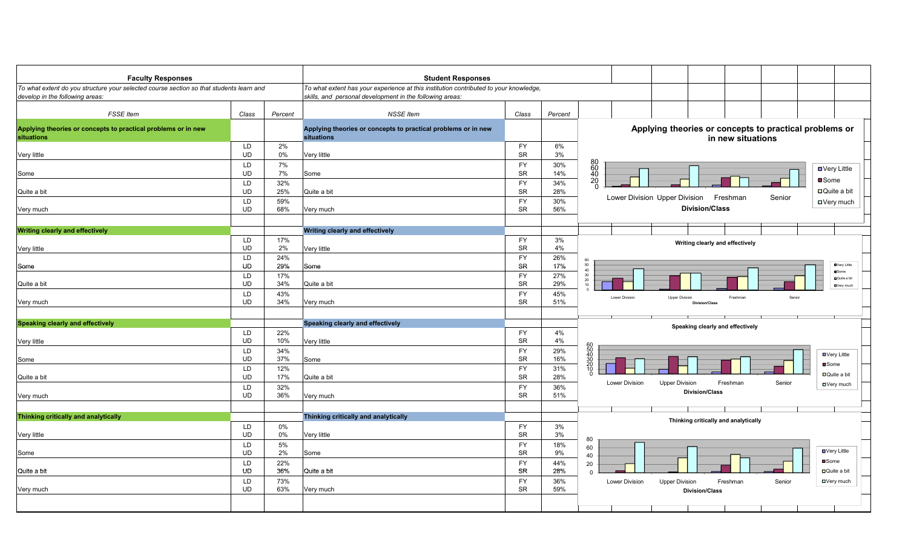| <b>Faculty Responses</b>                                                                                                   |                 |            | <b>Student Responses</b>                                                                                                                          |                        |            |                                               |                               |                                                            |                   |                                                             |
|----------------------------------------------------------------------------------------------------------------------------|-----------------|------------|---------------------------------------------------------------------------------------------------------------------------------------------------|------------------------|------------|-----------------------------------------------|-------------------------------|------------------------------------------------------------|-------------------|-------------------------------------------------------------|
| To what extent do you structure your selected course section so that students learn and<br>develop in the following areas: |                 |            | To what extent has your experience at this institution contributed to your knowledge,<br>skills, and personal development in the following areas: |                        |            |                                               |                               |                                                            |                   |                                                             |
| <b>FSSE Item</b>                                                                                                           | Class           | Percent    | <b>NSSE Item</b>                                                                                                                                  | Class                  | Percent    |                                               |                               |                                                            |                   |                                                             |
| Applying theories or concepts to practical problems or in new<br>situations                                                |                 |            | Applying theories or concepts to practical problems or in new<br>situations                                                                       |                        |            |                                               |                               | Applying theories or concepts to practical problems or     | in new situations |                                                             |
| Very little                                                                                                                | LD<br><b>UD</b> | 2%<br>0%   | Very little                                                                                                                                       | <b>FY</b><br><b>SR</b> | 6%<br>3%   |                                               |                               |                                                            |                   |                                                             |
| Some                                                                                                                       | LD<br><b>UD</b> | 7%<br>7%   | Some                                                                                                                                              | <b>FY</b><br><b>SR</b> | 30%<br>14% | 80<br>60<br>40<br>20<br>0                     |                               |                                                            |                   | ■ Very Little                                               |
| Quite a bit                                                                                                                | LD<br><b>UD</b> | 32%<br>25% | Quite a bit                                                                                                                                       | <b>FY</b><br><b>SR</b> | 34%<br>28% |                                               |                               |                                                            |                   | ■Some<br>$\Box$ Quite a bit                                 |
| Very much                                                                                                                  | LD<br>UD        | 59%<br>68% | Very much                                                                                                                                         | <b>FY</b><br><b>SR</b> | 30%<br>56% |                                               | Lower Division Upper Division | Freshman<br><b>Division/Class</b>                          | Senior            | □ Very much                                                 |
|                                                                                                                            |                 |            | <b>Writing clearly and effectively</b>                                                                                                            |                        |            |                                               |                               |                                                            |                   |                                                             |
| <b>Writing clearly and effectively</b><br>Very little                                                                      | LD<br><b>UD</b> | 17%<br>2%  | Very little                                                                                                                                       | <b>FY</b><br><b>SR</b> | 3%<br>4%   |                                               |                               | Writing clearly and effectively                            |                   |                                                             |
| Some                                                                                                                       | LD<br><b>UD</b> | 24%<br>29% | Some                                                                                                                                              | <b>FY</b><br>SR        | 26%<br>17% | 60<br>$50\,$<br>40                            |                               |                                                            |                   | <b>OVery Little</b>                                         |
| Quite a bit                                                                                                                | LD<br>UD        | 17%<br>34% | Quite a bit                                                                                                                                       | <b>FY</b><br><b>SR</b> | 27%<br>29% | $\begin{array}{c} 30 \\ 20 \\ 10 \end{array}$ |                               |                                                            |                   | <b>u</b> Some<br><b>D</b> Quite a bit<br><b>D</b> Very much |
| Very much                                                                                                                  | LD<br><b>UD</b> | 43%<br>34% | Very much                                                                                                                                         | <b>FY</b><br><b>SR</b> | 45%<br>51% | <b>Lower Division</b>                         |                               | <b>Upper Division</b><br>Freshman<br>Division/Clas         | Senio             |                                                             |
| <b>Speaking clearly and effectively</b>                                                                                    |                 |            | Speaking clearly and effectively                                                                                                                  |                        |            |                                               |                               | Speaking clearly and effectively                           |                   |                                                             |
| Very little                                                                                                                | LD<br>UD        | 22%<br>10% | Very little                                                                                                                                       | <b>FY</b><br><b>SR</b> | 4%<br>4%   |                                               |                               |                                                            |                   |                                                             |
| Some                                                                                                                       | LD<br><b>UD</b> | 34%<br>37% | Some                                                                                                                                              | <b>FY</b><br><b>SR</b> | 29%<br>16% | 60<br>50<br>30<br>30<br>20<br>10              |                               |                                                            |                   | ■Very Little<br><b>■Some</b>                                |
| Quite a bit                                                                                                                | LD<br><b>UD</b> | 12%<br>17% | Quite a bit                                                                                                                                       | <b>FY</b><br>SR        | 31%<br>28% |                                               | Lower Division                | <b>Upper Division</b><br>Freshman                          | Senior            | □ Quite a bit                                               |
| Very much                                                                                                                  | LD<br>UD        | 32%<br>36% | Very much                                                                                                                                         | <b>FY</b><br><b>SR</b> | 36%<br>51% |                                               |                               | <b>Division/Class</b>                                      |                   | □ Very much                                                 |
| Thinking critically and analytically                                                                                       |                 |            | Thinking critically and analytically                                                                                                              |                        |            |                                               |                               |                                                            |                   |                                                             |
|                                                                                                                            | LD              | 0%         |                                                                                                                                                   | <b>FY</b>              | 3%         |                                               |                               | Thinking critically and analytically                       |                   |                                                             |
| Very little                                                                                                                | <b>UD</b><br>LD | 0%<br>5%   | Very little                                                                                                                                       | <b>SR</b><br><b>FY</b> | 3%<br>18%  | 80                                            |                               |                                                            |                   |                                                             |
| Some                                                                                                                       | <b>UD</b>       | 2%         | Some                                                                                                                                              | <b>SR</b>              | 9%         | 60<br>40                                      |                               |                                                            |                   | <b>□</b> Very Little                                        |
| Quite a bit                                                                                                                | LD<br>UD        | 22%<br>36% | Quite a bit                                                                                                                                       | <b>FY</b><br><b>SR</b> | 44%<br>28% | 20<br>$\Omega$                                |                               |                                                            |                   | <b>■Some</b><br>□ Quite a bit                               |
| Very much                                                                                                                  | LD<br><b>UD</b> | 73%<br>63% | Very much                                                                                                                                         | <b>FY</b><br><b>SR</b> | 36%<br>59% |                                               | Lower Division                | <b>Upper Division</b><br>Freshman<br><b>Division/Class</b> | Senior            | □Very much                                                  |
|                                                                                                                            |                 |            |                                                                                                                                                   |                        |            |                                               |                               |                                                            |                   |                                                             |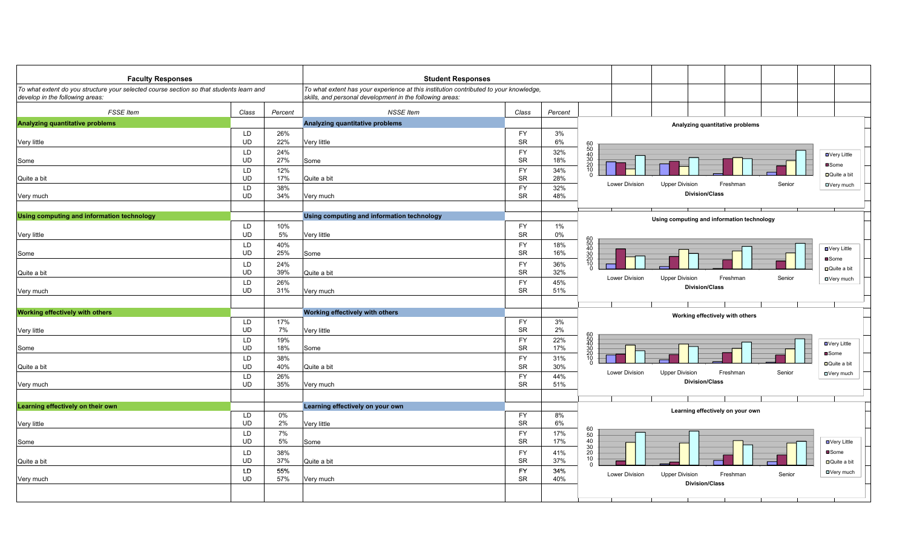| <b>Faculty Responses</b>                                                                                                   |                 |            | <b>Student Responses</b>                                                                                                                          |                        |            |                                                                                     |
|----------------------------------------------------------------------------------------------------------------------------|-----------------|------------|---------------------------------------------------------------------------------------------------------------------------------------------------|------------------------|------------|-------------------------------------------------------------------------------------|
| To what extent do you structure your selected course section so that students learn and<br>develop in the following areas: |                 |            | To what extent has your experience at this institution contributed to your knowledge,<br>skills, and personal development in the following areas: |                        |            |                                                                                     |
| <b>FSSE Item</b>                                                                                                           | Class           | Percent    | <b>NSSE Item</b>                                                                                                                                  | Class                  | Percent    |                                                                                     |
| Analyzing quantitative problems                                                                                            |                 |            | Analyzing quantitative problems                                                                                                                   |                        |            | Analyzing quantitative problems                                                     |
|                                                                                                                            | LD.             | 26%        |                                                                                                                                                   | <b>FY</b>              | 3%         |                                                                                     |
| Very little                                                                                                                | UD              | 22%        | Very little                                                                                                                                       | <b>SR</b>              | 6%         |                                                                                     |
|                                                                                                                            | LD              | 24%        |                                                                                                                                                   | <b>FY</b>              | 32%<br>18% | 60<br>50<br>40<br>30<br>20<br>20<br>10<br><b>□</b> Very Little                      |
| Some                                                                                                                       | UD<br>LD        | 27%<br>12% | Some                                                                                                                                              | <b>SR</b><br><b>FY</b> | 34%        | ■Some                                                                               |
| Quite a bit                                                                                                                | <b>UD</b>       | 17%        | Quite a bit                                                                                                                                       | ${\sf SR}$             | 28%        | □ Quite a bit                                                                       |
|                                                                                                                            | LD              | 38%        |                                                                                                                                                   | FY                     | 32%        | Lower Division<br><b>Upper Division</b><br>Freshman<br>Senior<br>□Very much         |
| Very much                                                                                                                  | UD              | 34%        | Very much                                                                                                                                         | <b>SR</b>              | 48%        | <b>Division/Class</b>                                                               |
|                                                                                                                            |                 |            |                                                                                                                                                   |                        |            |                                                                                     |
| Using computing and information technology                                                                                 |                 |            | Using computing and information technology                                                                                                        |                        |            | Using computing and information technology                                          |
|                                                                                                                            | LD              | 10%        |                                                                                                                                                   | <b>FY</b>              | $1\%$      |                                                                                     |
| Very little                                                                                                                | <b>UD</b>       | 5%         | Very little                                                                                                                                       | <b>SR</b>              | 0%         |                                                                                     |
|                                                                                                                            | LD<br>UD        | 40%<br>25% | Some                                                                                                                                              | <b>FY</b><br><b>SR</b> | 18%<br>16% | 60<br>50<br>40<br>30<br>20<br>10<br>5<br><b>□</b> Very Little                       |
| Some                                                                                                                       | LD              | 24%        |                                                                                                                                                   | <b>FY</b>              | 36%        | ■Some                                                                               |
| Quite a bit                                                                                                                | <b>UD</b>       | 39%        | Quite a bit                                                                                                                                       | SR                     | 32%        | □ Quite a bit                                                                       |
|                                                                                                                            | LD              | 26%        |                                                                                                                                                   | FY                     | 45%        | Lower Division<br>Senior<br><b>Upper Division</b><br>Freshman<br>□Very much         |
| Very much                                                                                                                  | <b>UD</b>       | 31%        | Very much                                                                                                                                         | SR                     | 51%        | <b>Division/Class</b>                                                               |
|                                                                                                                            |                 |            |                                                                                                                                                   |                        |            |                                                                                     |
| <b>Working effectively with others</b>                                                                                     |                 |            | Working effectively with others                                                                                                                   |                        |            | Working effectively with others                                                     |
|                                                                                                                            | LD              | 17%        |                                                                                                                                                   | FY                     | 3%         |                                                                                     |
| Very little                                                                                                                | UD              | 7%         | Very little                                                                                                                                       | <b>SR</b>              | 2%         |                                                                                     |
|                                                                                                                            | LD              | 19%        |                                                                                                                                                   | <b>FY</b>              | 22%        | <b>□</b> Very Little                                                                |
| Some                                                                                                                       | UD              | 18%        | Some                                                                                                                                              | SR                     | 17%        | 60<br>50<br>30<br>20<br>10<br>10<br>■Some                                           |
| Quite a bit                                                                                                                | LD<br><b>UD</b> | 38%<br>40% | Quite a bit                                                                                                                                       | FY<br><b>SR</b>        | 31%<br>30% | <b>□</b> Quite a bit                                                                |
|                                                                                                                            | LD              | 26%        |                                                                                                                                                   | <b>FY</b>              | 44%        | Lower Division<br><b>Upper Division</b><br>Freshman<br>Senior<br>□Very much         |
| Very much                                                                                                                  | UD              | 35%        | Very much                                                                                                                                         | <b>SR</b>              | 51%        | <b>Division/Class</b>                                                               |
|                                                                                                                            |                 |            |                                                                                                                                                   |                        |            |                                                                                     |
| Learning effectively on their own                                                                                          |                 |            | Learning effectively on your own                                                                                                                  |                        |            |                                                                                     |
|                                                                                                                            | LD              | 0%         |                                                                                                                                                   | FY                     | 8%         | Learning effectively on your own                                                    |
| Very little                                                                                                                | UD              | 2%         | Very little                                                                                                                                       | SR                     | 6%         |                                                                                     |
|                                                                                                                            | LD              | 7%         |                                                                                                                                                   | <b>FY</b>              | 17%        |                                                                                     |
| Some                                                                                                                       | UD              | 5%         | Some                                                                                                                                              | <b>SR</b>              | 17%        | 60<br>50<br>40<br>30<br>30<br>20<br><b>□</b> Very Little                            |
|                                                                                                                            | LD<br>UD        | 38%<br>37% |                                                                                                                                                   | FY<br><b>SR</b>        | 41%<br>37% | ■Some<br>10                                                                         |
| Quite a bit                                                                                                                | LD              | 55%        | Quite a bit                                                                                                                                       | <b>FY</b>              | 34%        | <b>□</b> Quite a bit<br>$\Omega$                                                    |
| Very much                                                                                                                  | <b>UD</b>       | 57%        | Very much                                                                                                                                         | <b>SR</b>              | 40%        | <b>□</b> Very much<br>Lower Division<br><b>Upper Division</b><br>Senior<br>Freshman |
|                                                                                                                            |                 |            |                                                                                                                                                   |                        |            | <b>Division/Class</b>                                                               |
|                                                                                                                            |                 |            |                                                                                                                                                   |                        |            |                                                                                     |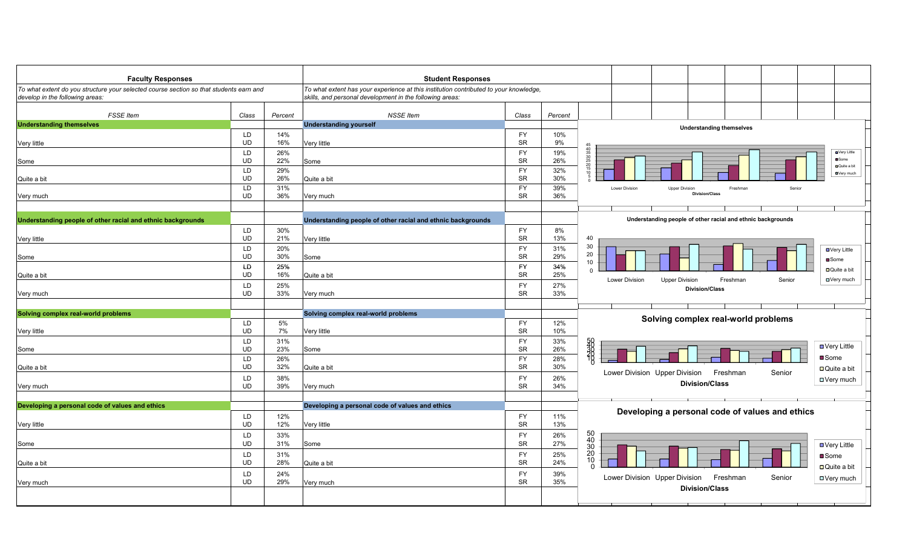| <b>Faculty Responses</b>                                                                                                  |                 |            | <b>Student Responses</b>                                                                                                                          |                        |            |                                                                                            |
|---------------------------------------------------------------------------------------------------------------------------|-----------------|------------|---------------------------------------------------------------------------------------------------------------------------------------------------|------------------------|------------|--------------------------------------------------------------------------------------------|
| To what extent do you structure your selected course section so that students earn and<br>develop in the following areas: |                 |            | To what extent has your experience at this institution contributed to your knowledge,<br>skills, and personal development in the following areas: |                        |            |                                                                                            |
| <b>FSSE</b> Item                                                                                                          | Class           | Percent    | <b>NSSE</b> Item                                                                                                                                  | Class                  | Percent    |                                                                                            |
| <b>Understanding themselves</b>                                                                                           |                 |            | <b>Understanding yourself</b>                                                                                                                     |                        |            | <b>Understanding themselves</b>                                                            |
|                                                                                                                           | LD              | 14%        |                                                                                                                                                   | <b>FY</b>              | 10%        |                                                                                            |
| Very little                                                                                                               | <b>UD</b>       | 16%        | Very little                                                                                                                                       | <b>SR</b>              | 9%         |                                                                                            |
|                                                                                                                           | LD              | 26%        |                                                                                                                                                   | FY                     | 19%        | <b>D</b> Very Little                                                                       |
| Some                                                                                                                      | <b>UD</b>       | 22%        | Some                                                                                                                                              | <b>SR</b>              | 26%        | 45<br>40<br>35<br>30<br>25<br>20<br>20<br>45<br><b>O</b> Some<br><b>D</b> Quite a bit      |
| Quite a bit                                                                                                               | LD<br>UD        | 29%<br>26% | Quite a bit                                                                                                                                       | <b>FY</b><br><b>SR</b> | 32%<br>30% | DVery much                                                                                 |
|                                                                                                                           | LD              | 31%        |                                                                                                                                                   | <b>FY</b>              | 39%        | Lower Division<br><b>Upper Division</b><br>Senio<br>Freshmar                               |
| Very much                                                                                                                 | <b>UD</b>       | 36%        | Very much                                                                                                                                         | <b>SR</b>              | 36%        | <b>Division/Class</b>                                                                      |
|                                                                                                                           |                 |            |                                                                                                                                                   |                        |            |                                                                                            |
|                                                                                                                           |                 |            |                                                                                                                                                   |                        |            |                                                                                            |
| Understanding people of other racial and ethnic backgrounds                                                               |                 |            | Understanding people of other racial and ethnic backgrounds                                                                                       |                        |            | Understanding people of other racial and ethnic backgrounds                                |
| Very little                                                                                                               | LD<br><b>UD</b> | 30%<br>21% | Very little                                                                                                                                       | <b>FY</b><br>SR        | 8%<br>13%  | 40                                                                                         |
|                                                                                                                           | LD              | 20%        |                                                                                                                                                   | <b>FY</b>              | 31%        | 30                                                                                         |
| Some                                                                                                                      | <b>UD</b>       | 30%        | Some                                                                                                                                              | <b>SR</b>              | 29%        | <b>□</b> Very Little<br>20                                                                 |
|                                                                                                                           | LD              | 25%        |                                                                                                                                                   | <b>FY</b>              | 34%        | ■Some<br>10                                                                                |
| Quite a bit                                                                                                               | <b>UD</b>       | 16%        | Quite a bit                                                                                                                                       | <b>SR</b>              | 25%        | □Quite a bit<br>$\Omega$                                                                   |
|                                                                                                                           | LD              | 25%        |                                                                                                                                                   | <b>FY</b>              | 27%        | <b>□</b> Very much<br><b>Lower Division</b><br><b>Upper Division</b><br>Freshman<br>Senior |
| Very much                                                                                                                 | <b>UD</b>       | 33%        | Very much                                                                                                                                         | <b>SR</b>              | 33%        | <b>Division/Class</b>                                                                      |
|                                                                                                                           |                 |            |                                                                                                                                                   |                        |            |                                                                                            |
| Solving complex real-world problems                                                                                       |                 |            | Solving complex real-world problems                                                                                                               |                        |            |                                                                                            |
|                                                                                                                           | LD              | 5%         |                                                                                                                                                   | <b>FY</b>              | 12%        | Solving complex real-world problems                                                        |
| Very little                                                                                                               | <b>UD</b>       | 7%         | Very little                                                                                                                                       | <b>SR</b>              | 10%        |                                                                                            |
|                                                                                                                           | LD              | 31%        |                                                                                                                                                   | <b>FY</b>              | 33%        |                                                                                            |
| Some                                                                                                                      | <b>UD</b>       | 23%        | Some                                                                                                                                              | <b>SR</b>              | 26%        | <b>RESPECTED</b><br><b>□ Very Little</b>                                                   |
|                                                                                                                           | LD              | 26%        |                                                                                                                                                   | <b>FY</b>              | 28%        | <b>■</b> Some                                                                              |
| Quite a bit                                                                                                               | <b>UD</b>       | 32%        | Quite a bit                                                                                                                                       | <b>SR</b>              | 30%        | $\Box$ Quite a bit<br>Freshman<br>Lower Division Upper Division<br>Senior                  |
|                                                                                                                           | LD              | 38%        |                                                                                                                                                   | <b>FY</b>              | 26%        | □ Very much<br><b>Division/Class</b>                                                       |
| Very much                                                                                                                 | UD              | 39%        | Very much                                                                                                                                         | <b>SR</b>              | 34%        |                                                                                            |
|                                                                                                                           |                 |            |                                                                                                                                                   |                        |            |                                                                                            |
| Developing a personal code of values and ethics                                                                           |                 |            | Developing a personal code of values and ethics                                                                                                   |                        |            | Developing a personal code of values and ethics                                            |
|                                                                                                                           | LD<br><b>UD</b> | 12%<br>12% |                                                                                                                                                   | <b>FY</b><br><b>SR</b> | 11%<br>13% |                                                                                            |
| Very little                                                                                                               |                 |            | Very little                                                                                                                                       |                        |            |                                                                                            |
|                                                                                                                           | LD              | 33%        |                                                                                                                                                   | <b>FY</b><br>SR        | 26%        | 50<br>40                                                                                   |
| Some                                                                                                                      | <b>UD</b>       | 31%        | Some                                                                                                                                              |                        | 27%        | <b>□ Very Little</b><br>$\frac{30}{20}$                                                    |
|                                                                                                                           | LD              | 31%        |                                                                                                                                                   | <b>FY</b><br><b>SR</b> | 25%        | ■Some<br>$\frac{10}{0}$                                                                    |
| Quite a bit                                                                                                               | <b>UD</b>       | 28%        | Quite a bit                                                                                                                                       |                        | 24%        | □ Quite a bit                                                                              |
|                                                                                                                           | LD              | 24%        |                                                                                                                                                   | <b>FY</b><br><b>SR</b> | 39%        | Freshman<br>Lower Division Upper Division<br>Senior<br><b>□Very much</b>                   |
| Very much                                                                                                                 | <b>UD</b>       | 29%        | Very much                                                                                                                                         |                        | 35%        | <b>Division/Class</b>                                                                      |
|                                                                                                                           |                 |            |                                                                                                                                                   |                        |            |                                                                                            |
|                                                                                                                           |                 |            |                                                                                                                                                   |                        |            |                                                                                            |